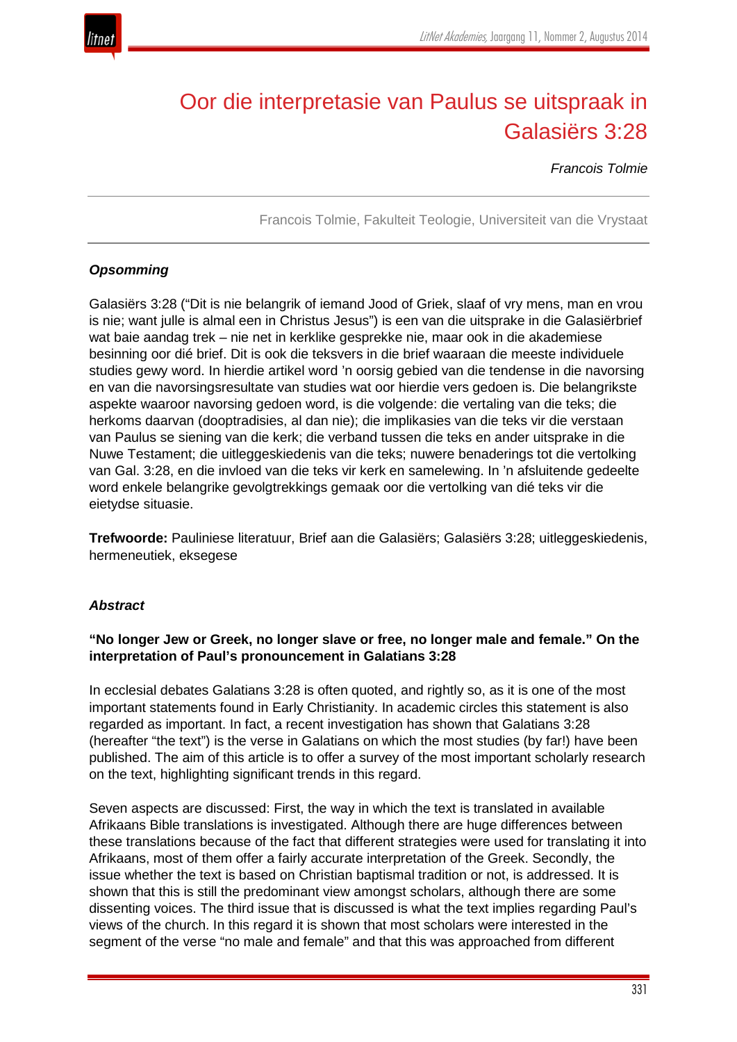

# Oor die interpretasie van Paulus se uitspraak in Galasiërs 3:28

*Francois Tolmie*

Francois Tolmie, Fakulteit Teologie, Universiteit van die Vrystaat

## *Opsomming*

Galasiërs 3:28 ("Dit is nie belangrik of iemand Jood of Griek, slaaf of vry mens, man en vrou is nie; want julle is almal een in Christus Jesus") is een van die uitsprake in die Galasiërbrief wat baie aandag trek – nie net in kerklike gesprekke nie, maar ook in die akademiese besinning oor dié brief. Dit is ook die teksvers in die brief waaraan die meeste individuele studies gewy word. In hierdie artikel word 'n oorsig gebied van die tendense in die navorsing en van die navorsingsresultate van studies wat oor hierdie vers gedoen is. Die belangrikste aspekte waaroor navorsing gedoen word, is die volgende: die vertaling van die teks; die herkoms daarvan (dooptradisies, al dan nie); die implikasies van die teks vir die verstaan van Paulus se siening van die kerk; die verband tussen die teks en ander uitsprake in die Nuwe Testament; die uitleggeskiedenis van die teks; nuwere benaderings tot die vertolking van Gal. 3:28, en die invloed van die teks vir kerk en samelewing. In 'n afsluitende gedeelte word enkele belangrike gevolgtrekkings gemaak oor die vertolking van dié teks vir die eietydse situasie.

**Trefwoorde:** Pauliniese literatuur, Brief aan die Galasiërs; Galasiërs 3:28; uitleggeskiedenis, hermeneutiek, eksegese

## *Abstract*

## **"No longer Jew or Greek, no longer slave or free, no longer male and female." On the interpretation of Paul's pronouncement in Galatians 3:28**

In ecclesial debates Galatians 3:28 is often quoted, and rightly so, as it is one of the most important statements found in Early Christianity. In academic circles this statement is also regarded as important. In fact, a recent investigation has shown that Galatians 3:28 (hereafter "the text") is the verse in Galatians on which the most studies (by far!) have been published. The aim of this article is to offer a survey of the most important scholarly research on the text, highlighting significant trends in this regard.

Seven aspects are discussed: First, the way in which the text is translated in available Afrikaans Bible translations is investigated. Although there are huge differences between these translations because of the fact that different strategies were used for translating it into Afrikaans, most of them offer a fairly accurate interpretation of the Greek. Secondly, the issue whether the text is based on Christian baptismal tradition or not, is addressed. It is shown that this is still the predominant view amongst scholars, although there are some dissenting voices. The third issue that is discussed is what the text implies regarding Paul's views of the church. In this regard it is shown that most scholars were interested in the segment of the verse "no male and female" and that this was approached from different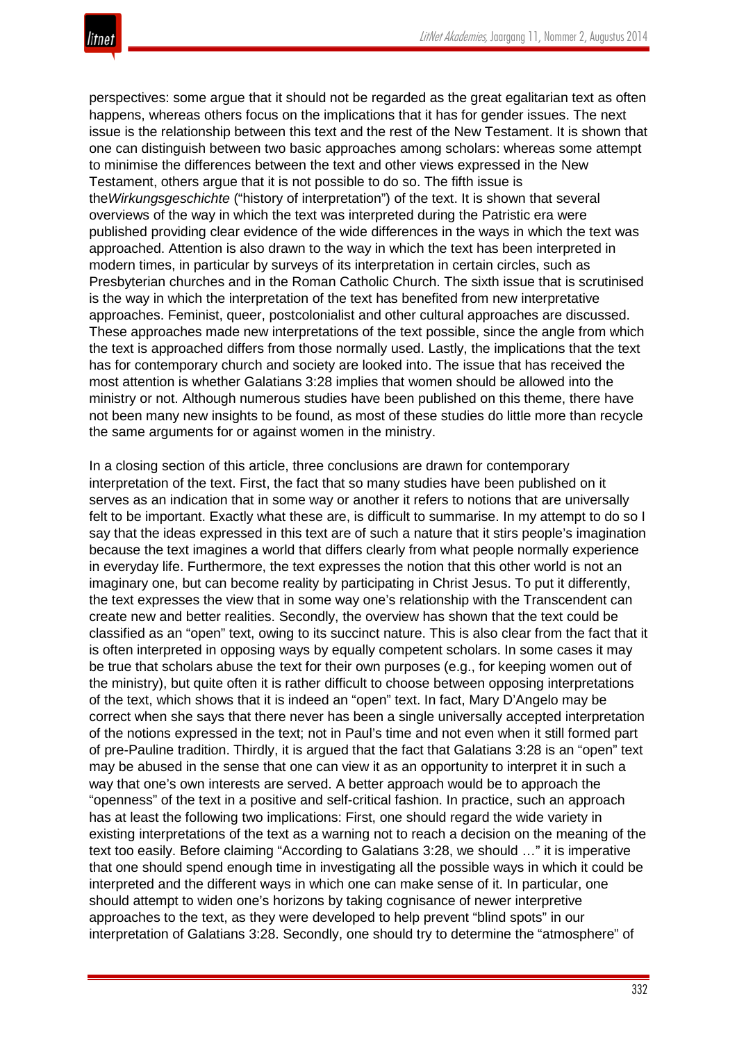perspectives: some argue that it should not be regarded as the great egalitarian text as often happens, whereas others focus on the implications that it has for gender issues. The next issue is the relationship between this text and the rest of the New Testament. It is shown that one can distinguish between two basic approaches among scholars: whereas some attempt to minimise the differences between the text and other views expressed in the New Testament, others argue that it is not possible to do so. The fifth issue is the*Wirkungsgeschichte* ("history of interpretation") of the text. It is shown that several overviews of the way in which the text was interpreted during the Patristic era were published providing clear evidence of the wide differences in the ways in which the text was approached. Attention is also drawn to the way in which the text has been interpreted in modern times, in particular by surveys of its interpretation in certain circles, such as Presbyterian churches and in the Roman Catholic Church. The sixth issue that is scrutinised is the way in which the interpretation of the text has benefited from new interpretative approaches. Feminist, queer, postcolonialist and other cultural approaches are discussed. These approaches made new interpretations of the text possible, since the angle from which the text is approached differs from those normally used. Lastly, the implications that the text has for contemporary church and society are looked into. The issue that has received the most attention is whether Galatians 3:28 implies that women should be allowed into the ministry or not. Although numerous studies have been published on this theme, there have not been many new insights to be found, as most of these studies do little more than recycle the same arguments for or against women in the ministry.

In a closing section of this article, three conclusions are drawn for contemporary interpretation of the text. First, the fact that so many studies have been published on it serves as an indication that in some way or another it refers to notions that are universally felt to be important. Exactly what these are, is difficult to summarise. In my attempt to do so I say that the ideas expressed in this text are of such a nature that it stirs people's imagination because the text imagines a world that differs clearly from what people normally experience in everyday life. Furthermore, the text expresses the notion that this other world is not an imaginary one, but can become reality by participating in Christ Jesus. To put it differently, the text expresses the view that in some way one's relationship with the Transcendent can create new and better realities. Secondly, the overview has shown that the text could be classified as an "open" text, owing to its succinct nature. This is also clear from the fact that it is often interpreted in opposing ways by equally competent scholars. In some cases it may be true that scholars abuse the text for their own purposes (e.g., for keeping women out of the ministry), but quite often it is rather difficult to choose between opposing interpretations of the text, which shows that it is indeed an "open" text. In fact, Mary D'Angelo may be correct when she says that there never has been a single universally accepted interpretation of the notions expressed in the text; not in Paul's time and not even when it still formed part of pre-Pauline tradition. Thirdly, it is argued that the fact that Galatians 3:28 is an "open" text may be abused in the sense that one can view it as an opportunity to interpret it in such a way that one's own interests are served. A better approach would be to approach the "openness" of the text in a positive and self-critical fashion. In practice, such an approach has at least the following two implications: First, one should regard the wide variety in existing interpretations of the text as a warning not to reach a decision on the meaning of the text too easily. Before claiming "According to Galatians 3:28, we should …" it is imperative that one should spend enough time in investigating all the possible ways in which it could be interpreted and the different ways in which one can make sense of it. In particular, one should attempt to widen one's horizons by taking cognisance of newer interpretive approaches to the text, as they were developed to help prevent "blind spots" in our interpretation of Galatians 3:28. Secondly, one should try to determine the "atmosphere" of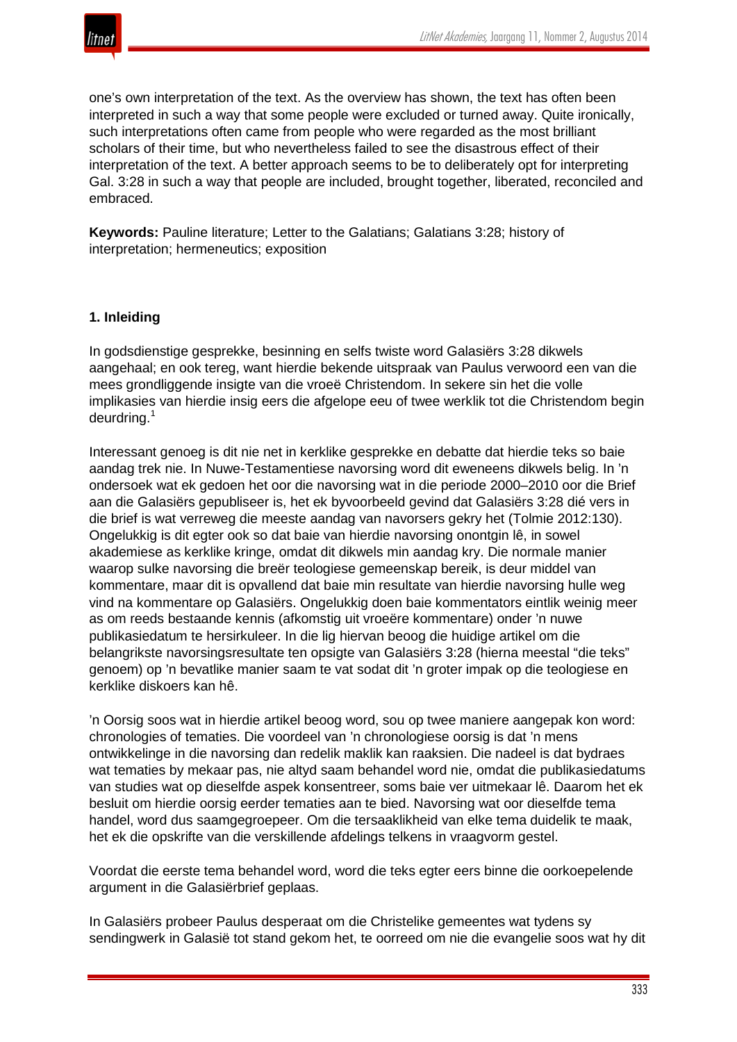

one's own interpretation of the text. As the overview has shown, the text has often been interpreted in such a way that some people were excluded or turned away. Quite ironically, such interpretations often came from people who were regarded as the most brilliant scholars of their time, but who nevertheless failed to see the disastrous effect of their interpretation of the text. A better approach seems to be to deliberately opt for interpreting Gal. 3:28 in such a way that people are included, brought together, liberated, reconciled and embraced.

**Keywords:** Pauline literature; Letter to the Galatians; Galatians 3:28; history of interpretation; hermeneutics; exposition

## **1. Inleiding**

In godsdienstige gesprekke, besinning en selfs twiste word Galasiërs 3:28 dikwels aangehaal; en ook tereg, want hierdie bekende uitspraak van Paulus verwoord een van die mees grondliggende insigte van die vroeë Christendom. In sekere sin het die volle implikasies van hierdie insig eers die afgelope eeu of twee werklik tot die Christendom begin deurdring.<sup>1</sup>

Interessant genoeg is dit nie net in kerklike gesprekke en debatte dat hierdie teks so baie aandag trek nie. In Nuwe-Testamentiese navorsing word dit eweneens dikwels belig. In 'n ondersoek wat ek gedoen het oor die navorsing wat in die periode 2000–2010 oor die Brief aan die Galasiërs gepubliseer is, het ek byvoorbeeld gevind dat Galasiërs 3:28 dié vers in die brief is wat verreweg die meeste aandag van navorsers gekry het (Tolmie 2012:130). Ongelukkig is dit egter ook so dat baie van hierdie navorsing onontgin lê, in sowel akademiese as kerklike kringe, omdat dit dikwels min aandag kry. Die normale manier waarop sulke navorsing die breër teologiese gemeenskap bereik, is deur middel van kommentare, maar dit is opvallend dat baie min resultate van hierdie navorsing hulle weg vind na kommentare op Galasiërs. Ongelukkig doen baie kommentators eintlik weinig meer as om reeds bestaande kennis (afkomstig uit vroeëre kommentare) onder 'n nuwe publikasiedatum te hersirkuleer. In die lig hiervan beoog die huidige artikel om die belangrikste navorsingsresultate ten opsigte van Galasiërs 3:28 (hierna meestal "die teks" genoem) op 'n bevatlike manier saam te vat sodat dit 'n groter impak op die teologiese en kerklike diskoers kan hê.

'n Oorsig soos wat in hierdie artikel beoog word, sou op twee maniere aangepak kon word: chronologies of tematies. Die voordeel van 'n chronologiese oorsig is dat 'n mens ontwikkelinge in die navorsing dan redelik maklik kan raaksien. Die nadeel is dat bydraes wat tematies by mekaar pas, nie altyd saam behandel word nie, omdat die publikasiedatums van studies wat op dieselfde aspek konsentreer, soms baie ver uitmekaar lê. Daarom het ek besluit om hierdie oorsig eerder tematies aan te bied. Navorsing wat oor dieselfde tema handel, word dus saamgegroepeer. Om die tersaaklikheid van elke tema duidelik te maak, het ek die opskrifte van die verskillende afdelings telkens in vraagvorm gestel.

Voordat die eerste tema behandel word, word die teks egter eers binne die oorkoepelende argument in die Galasiërbrief geplaas.

In Galasiërs probeer Paulus desperaat om die Christelike gemeentes wat tydens sy sendingwerk in Galasië tot stand gekom het, te oorreed om nie die evangelie soos wat hy dit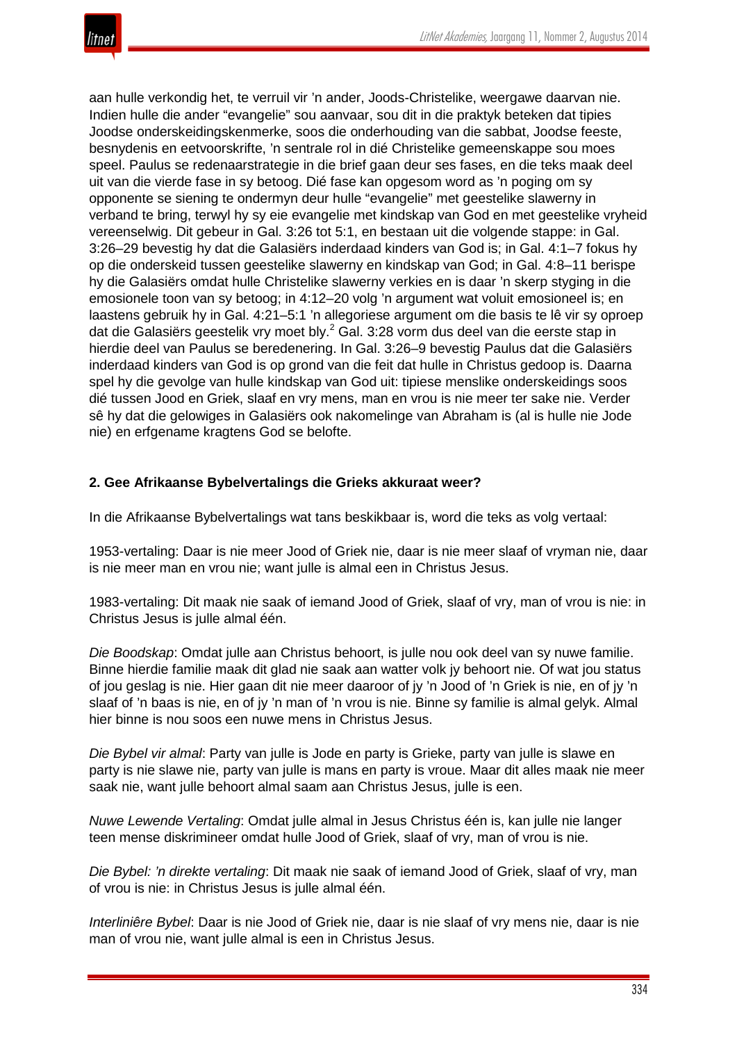

aan hulle verkondig het, te verruil vir 'n ander, Joods-Christelike, weergawe daarvan nie. Indien hulle die ander "evangelie" sou aanvaar, sou dit in die praktyk beteken dat tipies Joodse onderskeidingskenmerke, soos die onderhouding van die sabbat, Joodse feeste, besnydenis en eetvoorskrifte, 'n sentrale rol in dié Christelike gemeenskappe sou moes speel. Paulus se redenaarstrategie in die brief gaan deur ses fases, en die teks maak deel uit van die vierde fase in sy betoog. Dié fase kan opgesom word as 'n poging om sy opponente se siening te ondermyn deur hulle "evangelie" met geestelike slawerny in verband te bring, terwyl hy sy eie evangelie met kindskap van God en met geestelike vryheid vereenselwig. Dit gebeur in Gal. 3:26 tot 5:1, en bestaan uit die volgende stappe: in Gal. 3:26–29 bevestig hy dat die Galasiërs inderdaad kinders van God is; in Gal. 4:1–7 fokus hy op die onderskeid tussen geestelike slawerny en kindskap van God; in Gal. 4:8–11 berispe hy die Galasiërs omdat hulle Christelike slawerny verkies en is daar 'n skerp styging in die emosionele toon van sy betoog; in 4:12–20 volg 'n argument wat voluit emosioneel is; en laastens gebruik hy in Gal. 4:21–5:1 'n allegoriese argument om die basis te lê vir sy oproep dat die Galasiërs geestelik vry moet bly.<sup>2</sup> Gal. 3:28 vorm dus deel van die eerste stap in hierdie deel van Paulus se beredenering. In Gal. 3:26–9 bevestig Paulus dat die Galasiërs inderdaad kinders van God is op grond van die feit dat hulle in Christus gedoop is. Daarna spel hy die gevolge van hulle kindskap van God uit: tipiese menslike onderskeidings soos dié tussen Jood en Griek, slaaf en vry mens, man en vrou is nie meer ter sake nie. Verder sê hy dat die gelowiges in Galasiërs ook nakomelinge van Abraham is (al is hulle nie Jode nie) en erfgename kragtens God se belofte.

## **2. Gee Afrikaanse Bybelvertalings die Grieks akkuraat weer?**

In die Afrikaanse Bybelvertalings wat tans beskikbaar is, word die teks as volg vertaal:

1953-vertaling: Daar is nie meer Jood of Griek nie, daar is nie meer slaaf of vryman nie, daar is nie meer man en vrou nie; want julle is almal een in Christus Jesus.

1983-vertaling: Dit maak nie saak of iemand Jood of Griek, slaaf of vry, man of vrou is nie: in Christus Jesus is julle almal één.

*Die Boodskap*: Omdat julle aan Christus behoort, is julle nou ook deel van sy nuwe familie. Binne hierdie familie maak dit glad nie saak aan watter volk jy behoort nie. Of wat jou status of jou geslag is nie. Hier gaan dit nie meer daaroor of jy 'n Jood of 'n Griek is nie, en of jy 'n slaaf of 'n baas is nie, en of jy 'n man of 'n vrou is nie. Binne sy familie is almal gelyk. Almal hier binne is nou soos een nuwe mens in Christus Jesus.

*Die Bybel vir almal*: Party van julle is Jode en party is Grieke, party van julle is slawe en party is nie slawe nie, party van julle is mans en party is vroue. Maar dit alles maak nie meer saak nie, want julle behoort almal saam aan Christus Jesus, julle is een.

*Nuwe Lewende Vertaling*: Omdat julle almal in Jesus Christus één is, kan julle nie langer teen mense diskrimineer omdat hulle Jood of Griek, slaaf of vry, man of vrou is nie.

*Die Bybel: 'n direkte vertaling*: Dit maak nie saak of iemand Jood of Griek, slaaf of vry, man of vrou is nie: in Christus Jesus is julle almal één.

*Interliniêre Bybel*: Daar is nie Jood of Griek nie, daar is nie slaaf of vry mens nie, daar is nie man of vrou nie, want julle almal is een in Christus Jesus.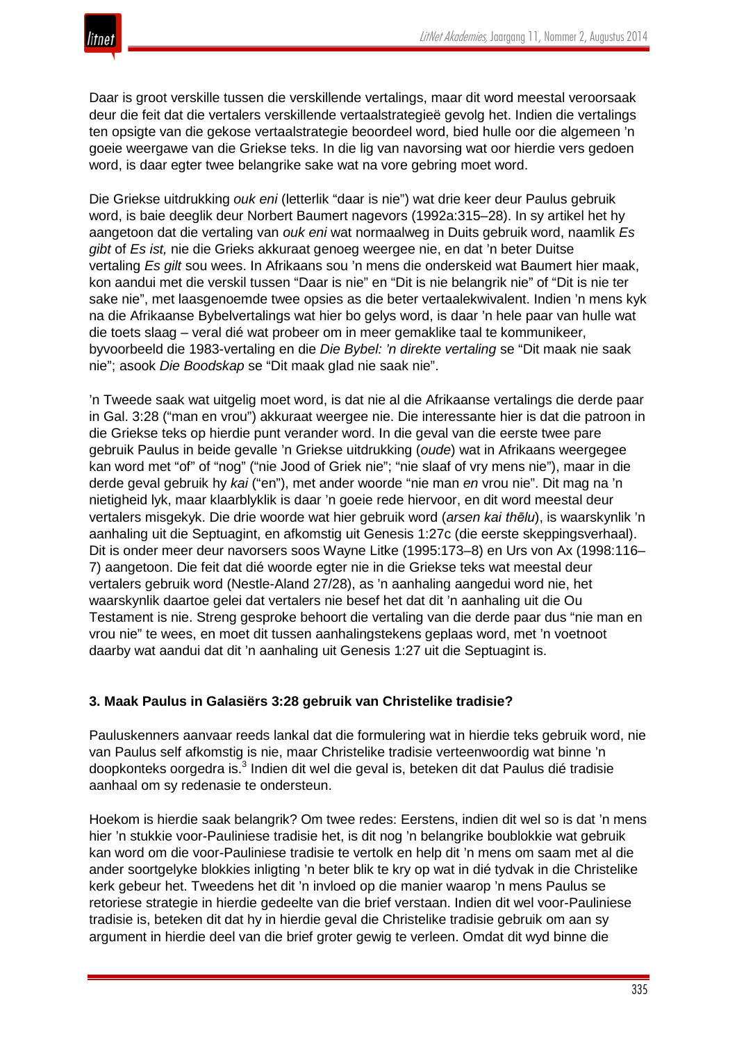

Daar is groot verskille tussen die verskillende vertalings, maar dit word meestal veroorsaak deur die feit dat die vertalers verskillende vertaalstrategieë gevolg het. Indien die vertalings ten opsigte van die gekose vertaalstrategie beoordeel word, bied hulle oor die algemeen 'n goeie weergawe van die Griekse teks. In die lig van navorsing wat oor hierdie vers gedoen word, is daar egter twee belangrike sake wat na vore gebring moet word.

Die Griekse uitdrukking *ouk eni* (letterlik "daar is nie") wat drie keer deur Paulus gebruik word, is baie deeglik deur Norbert Baumert nagevors (1992a:315–28). In sy artikel het hy aangetoon dat die vertaling van *ouk eni* wat normaalweg in Duits gebruik word, naamlik *Es gibt* of *Es ist,* nie die Grieks akkuraat genoeg weergee nie, en dat 'n beter Duitse vertaling *Es gilt* sou wees. In Afrikaans sou 'n mens die onderskeid wat Baumert hier maak, kon aandui met die verskil tussen "Daar is nie" en "Dit is nie belangrik nie" of "Dit is nie ter sake nie", met laasgenoemde twee opsies as die beter vertaalekwivalent. Indien 'n mens kyk na die Afrikaanse Bybelvertalings wat hier bo gelys word, is daar 'n hele paar van hulle wat die toets slaag – veral dié wat probeer om in meer gemaklike taal te kommunikeer, byvoorbeeld die 1983-vertaling en die *Die Bybel: 'n direkte vertaling* se "Dit maak nie saak nie"; asook *Die Boodskap* se "Dit maak glad nie saak nie".

'n Tweede saak wat uitgelig moet word, is dat nie al die Afrikaanse vertalings die derde paar in Gal. 3:28 ("man en vrou") akkuraat weergee nie. Die interessante hier is dat die patroon in die Griekse teks op hierdie punt verander word. In die geval van die eerste twee pare gebruik Paulus in beide gevalle 'n Griekse uitdrukking (*oude*) wat in Afrikaans weergegee kan word met "of" of "nog" ("nie Jood of Griek nie"; "nie slaaf of vry mens nie"), maar in die derde geval gebruik hy *kai* ("en"), met ander woorde "nie man *en* vrou nie". Dit mag na 'n nietigheid lyk, maar klaarblyklik is daar 'n goeie rede hiervoor, en dit word meestal deur vertalers misgekyk. Die drie woorde wat hier gebruik word (*arsen kai thēlu*), is waarskynlik 'n aanhaling uit die Septuagint, en afkomstig uit Genesis 1:27c (die eerste skeppingsverhaal). Dit is onder meer deur navorsers soos Wayne Litke (1995:173–8) en Urs von Ax (1998:116– 7) aangetoon. Die feit dat dié woorde egter nie in die Griekse teks wat meestal deur vertalers gebruik word (Nestle-Aland 27/28), as 'n aanhaling aangedui word nie, het waarskynlik daartoe gelei dat vertalers nie besef het dat dit 'n aanhaling uit die Ou Testament is nie. Streng gesproke behoort die vertaling van die derde paar dus "nie man en vrou nie" te wees, en moet dit tussen aanhalingstekens geplaas word, met 'n voetnoot daarby wat aandui dat dit 'n aanhaling uit Genesis 1:27 uit die Septuagint is.

## **3. Maak Paulus in Galasiërs 3:28 gebruik van Christelike tradisie?**

Pauluskenners aanvaar reeds lankal dat die formulering wat in hierdie teks gebruik word, nie van Paulus self afkomstig is nie, maar Christelike tradisie verteenwoordig wat binne 'n doopkonteks oorgedra is.<sup>3</sup> Indien dit wel die geval is, beteken dit dat Paulus dié tradisie aanhaal om sy redenasie te ondersteun.

Hoekom is hierdie saak belangrik? Om twee redes: Eerstens, indien dit wel so is dat 'n mens hier 'n stukkie voor-Pauliniese tradisie het, is dit nog 'n belangrike boublokkie wat gebruik kan word om die voor-Pauliniese tradisie te vertolk en help dit 'n mens om saam met al die ander soortgelyke blokkies inligting 'n beter blik te kry op wat in dié tydvak in die Christelike kerk gebeur het. Tweedens het dit 'n invloed op die manier waarop 'n mens Paulus se retoriese strategie in hierdie gedeelte van die brief verstaan. Indien dit wel voor-Pauliniese tradisie is, beteken dit dat hy in hierdie geval die Christelike tradisie gebruik om aan sy argument in hierdie deel van die brief groter gewig te verleen. Omdat dit wyd binne die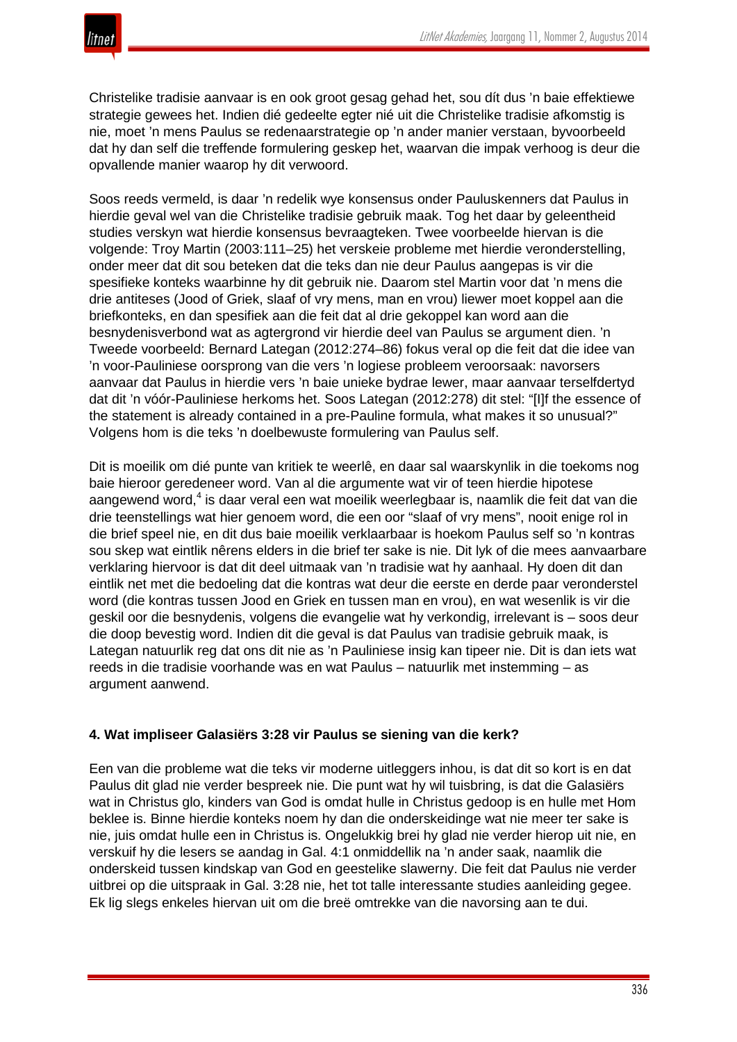

Christelike tradisie aanvaar is en ook groot gesag gehad het, sou dít dus 'n baie effektiewe strategie gewees het. Indien dié gedeelte egter nié uit die Christelike tradisie afkomstig is nie, moet 'n mens Paulus se redenaarstrategie op 'n ander manier verstaan, byvoorbeeld dat hy dan self die treffende formulering geskep het, waarvan die impak verhoog is deur die opvallende manier waarop hy dit verwoord.

Soos reeds vermeld, is daar 'n redelik wye konsensus onder Pauluskenners dat Paulus in hierdie geval wel van die Christelike tradisie gebruik maak. Tog het daar by geleentheid studies verskyn wat hierdie konsensus bevraagteken. Twee voorbeelde hiervan is die volgende: Troy Martin (2003:111–25) het verskeie probleme met hierdie veronderstelling, onder meer dat dit sou beteken dat die teks dan nie deur Paulus aangepas is vir die spesifieke konteks waarbinne hy dit gebruik nie. Daarom stel Martin voor dat 'n mens die drie antiteses (Jood of Griek, slaaf of vry mens, man en vrou) liewer moet koppel aan die briefkonteks, en dan spesifiek aan die feit dat al drie gekoppel kan word aan die besnydenisverbond wat as agtergrond vir hierdie deel van Paulus se argument dien. 'n Tweede voorbeeld: Bernard Lategan (2012:274–86) fokus veral op die feit dat die idee van 'n voor-Pauliniese oorsprong van die vers 'n logiese probleem veroorsaak: navorsers aanvaar dat Paulus in hierdie vers 'n baie unieke bydrae lewer, maar aanvaar terselfdertyd dat dit 'n vóór-Pauliniese herkoms het. Soos Lategan (2012:278) dit stel: "[I]f the essence of the statement is already contained in a pre-Pauline formula, what makes it so unusual?" Volgens hom is die teks 'n doelbewuste formulering van Paulus self.

Dit is moeilik om dié punte van kritiek te weerlê, en daar sal waarskynlik in die toekoms nog baie hieroor geredeneer word. Van al die argumente wat vir of teen hierdie hipotese aangewend word,<sup>4</sup> is daar veral een wat moeilik weerlegbaar is, naamlik die feit dat van die drie teenstellings wat hier genoem word, die een oor "slaaf of vry mens", nooit enige rol in die brief speel nie, en dit dus baie moeilik verklaarbaar is hoekom Paulus self so 'n kontras sou skep wat eintlik nêrens elders in die brief ter sake is nie. Dit lyk of die mees aanvaarbare verklaring hiervoor is dat dit deel uitmaak van 'n tradisie wat hy aanhaal. Hy doen dit dan eintlik net met die bedoeling dat die kontras wat deur die eerste en derde paar veronderstel word (die kontras tussen Jood en Griek en tussen man en vrou), en wat wesenlik is vir die geskil oor die besnydenis, volgens die evangelie wat hy verkondig, irrelevant is – soos deur die doop bevestig word. Indien dit die geval is dat Paulus van tradisie gebruik maak, is Lategan natuurlik reg dat ons dit nie as 'n Pauliniese insig kan tipeer nie. Dit is dan iets wat reeds in die tradisie voorhande was en wat Paulus – natuurlik met instemming – as argument aanwend.

## **4. Wat impliseer Galasiërs 3:28 vir Paulus se siening van die kerk?**

Een van die probleme wat die teks vir moderne uitleggers inhou, is dat dit so kort is en dat Paulus dit glad nie verder bespreek nie. Die punt wat hy wil tuisbring, is dat die Galasiërs wat in Christus glo, kinders van God is omdat hulle in Christus gedoop is en hulle met Hom beklee is. Binne hierdie konteks noem hy dan die onderskeidinge wat nie meer ter sake is nie, juis omdat hulle een in Christus is. Ongelukkig brei hy glad nie verder hierop uit nie, en verskuif hy die lesers se aandag in Gal. 4:1 onmiddellik na 'n ander saak, naamlik die onderskeid tussen kindskap van God en geestelike slawerny. Die feit dat Paulus nie verder uitbrei op die uitspraak in Gal. 3:28 nie, het tot talle interessante studies aanleiding gegee. Ek lig slegs enkeles hiervan uit om die breë omtrekke van die navorsing aan te dui.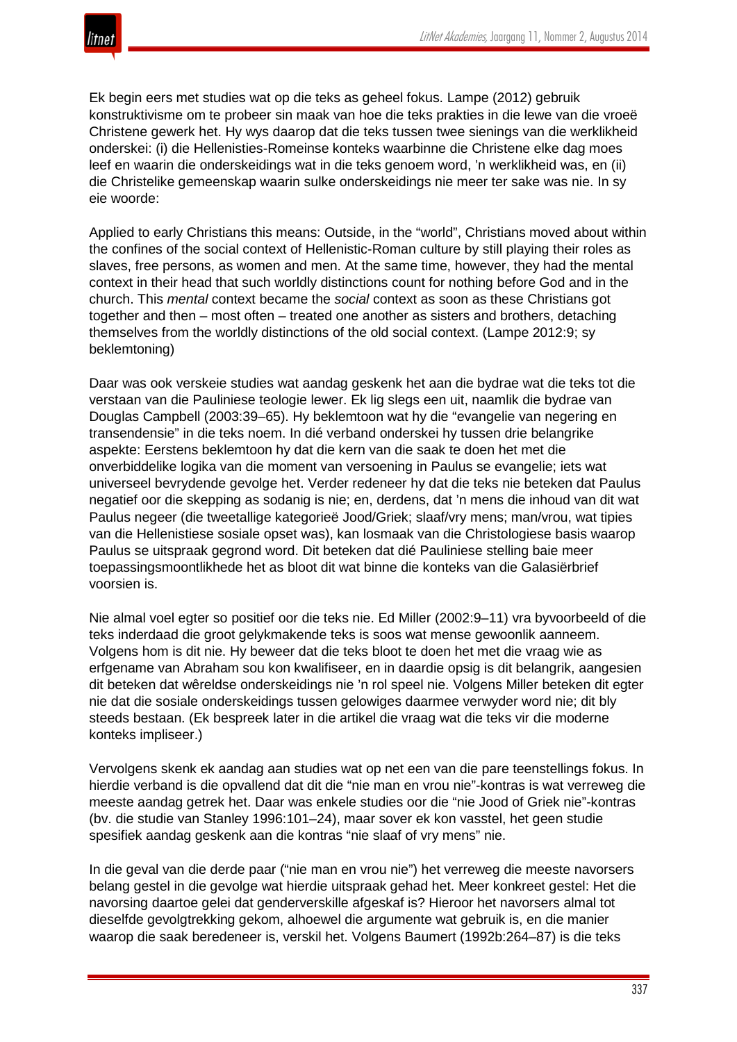Ek begin eers met studies wat op die teks as geheel fokus. Lampe (2012) gebruik konstruktivisme om te probeer sin maak van hoe die teks prakties in die lewe van die vroeë Christene gewerk het. Hy wys daarop dat die teks tussen twee sienings van die werklikheid onderskei: (i) die Hellenisties-Romeinse konteks waarbinne die Christene elke dag moes leef en waarin die onderskeidings wat in die teks genoem word, 'n werklikheid was, en (ii) die Christelike gemeenskap waarin sulke onderskeidings nie meer ter sake was nie. In sy eie woorde:

Applied to early Christians this means: Outside, in the "world", Christians moved about within the confines of the social context of Hellenistic-Roman culture by still playing their roles as slaves, free persons, as women and men. At the same time, however, they had the mental context in their head that such worldly distinctions count for nothing before God and in the church. This *mental* context became the *social* context as soon as these Christians got together and then – most often – treated one another as sisters and brothers, detaching themselves from the worldly distinctions of the old social context. (Lampe 2012:9; sy beklemtoning)

Daar was ook verskeie studies wat aandag geskenk het aan die bydrae wat die teks tot die verstaan van die Pauliniese teologie lewer. Ek lig slegs een uit, naamlik die bydrae van Douglas Campbell (2003:39–65). Hy beklemtoon wat hy die "evangelie van negering en transendensie" in die teks noem. In dié verband onderskei hy tussen drie belangrike aspekte: Eerstens beklemtoon hy dat die kern van die saak te doen het met die onverbiddelike logika van die moment van versoening in Paulus se evangelie; iets wat universeel bevrydende gevolge het. Verder redeneer hy dat die teks nie beteken dat Paulus negatief oor die skepping as sodanig is nie; en, derdens, dat 'n mens die inhoud van dit wat Paulus negeer (die tweetallige kategorieë Jood/Griek; slaaf/vry mens; man/vrou, wat tipies van die Hellenistiese sosiale opset was), kan losmaak van die Christologiese basis waarop Paulus se uitspraak gegrond word. Dit beteken dat dié Pauliniese stelling baie meer toepassingsmoontlikhede het as bloot dit wat binne die konteks van die Galasiërbrief voorsien is.

Nie almal voel egter so positief oor die teks nie. Ed Miller (2002:9–11) vra byvoorbeeld of die teks inderdaad die groot gelykmakende teks is soos wat mense gewoonlik aanneem. Volgens hom is dit nie. Hy beweer dat die teks bloot te doen het met die vraag wie as erfgename van Abraham sou kon kwalifiseer, en in daardie opsig is dit belangrik, aangesien dit beteken dat wêreldse onderskeidings nie 'n rol speel nie. Volgens Miller beteken dit egter nie dat die sosiale onderskeidings tussen gelowiges daarmee verwyder word nie; dit bly steeds bestaan. (Ek bespreek later in die artikel die vraag wat die teks vir die moderne konteks impliseer.)

Vervolgens skenk ek aandag aan studies wat op net een van die pare teenstellings fokus. In hierdie verband is die opvallend dat dit die "nie man en vrou nie"-kontras is wat verreweg die meeste aandag getrek het. Daar was enkele studies oor die "nie Jood of Griek nie"-kontras (bv. die studie van Stanley 1996:101–24), maar sover ek kon vasstel, het geen studie spesifiek aandag geskenk aan die kontras "nie slaaf of vry mens" nie.

In die geval van die derde paar ("nie man en vrou nie") het verreweg die meeste navorsers belang gestel in die gevolge wat hierdie uitspraak gehad het. Meer konkreet gestel: Het die navorsing daartoe gelei dat genderverskille afgeskaf is? Hieroor het navorsers almal tot dieselfde gevolgtrekking gekom, alhoewel die argumente wat gebruik is, en die manier waarop die saak beredeneer is, verskil het. Volgens Baumert (1992b:264–87) is die teks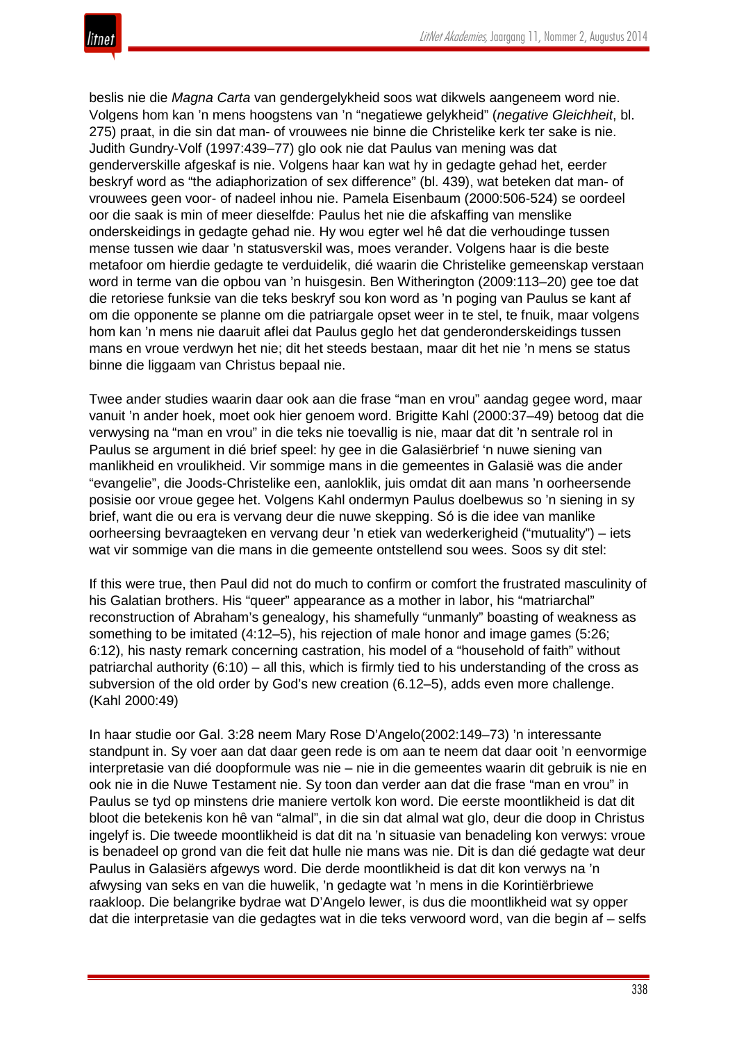

beslis nie die *Magna Carta* van gendergelykheid soos wat dikwels aangeneem word nie. Volgens hom kan 'n mens hoogstens van 'n "negatiewe gelykheid" (*negative Gleichheit*, bl. 275) praat, in die sin dat man- of vrouwees nie binne die Christelike kerk ter sake is nie. Judith Gundry-Volf (1997:439–77) glo ook nie dat Paulus van mening was dat genderverskille afgeskaf is nie. Volgens haar kan wat hy in gedagte gehad het, eerder beskryf word as "the adiaphorization of sex difference" (bl. 439), wat beteken dat man- of vrouwees geen voor- of nadeel inhou nie. Pamela Eisenbaum (2000:506-524) se oordeel oor die saak is min of meer dieselfde: Paulus het nie die afskaffing van menslike onderskeidings in gedagte gehad nie. Hy wou egter wel hê dat die verhoudinge tussen mense tussen wie daar 'n statusverskil was, moes verander. Volgens haar is die beste metafoor om hierdie gedagte te verduidelik, dié waarin die Christelike gemeenskap verstaan word in terme van die opbou van 'n huisgesin. Ben Witherington (2009:113–20) gee toe dat die retoriese funksie van die teks beskryf sou kon word as 'n poging van Paulus se kant af om die opponente se planne om die patriargale opset weer in te stel, te fnuik, maar volgens hom kan 'n mens nie daaruit aflei dat Paulus geglo het dat genderonderskeidings tussen mans en vroue verdwyn het nie; dit het steeds bestaan, maar dit het nie 'n mens se status binne die liggaam van Christus bepaal nie.

Twee ander studies waarin daar ook aan die frase "man en vrou" aandag gegee word, maar vanuit 'n ander hoek, moet ook hier genoem word. Brigitte Kahl (2000:37–49) betoog dat die verwysing na "man en vrou" in die teks nie toevallig is nie, maar dat dit 'n sentrale rol in Paulus se argument in dié brief speel: hy gee in die Galasiërbrief 'n nuwe siening van manlikheid en vroulikheid. Vir sommige mans in die gemeentes in Galasië was die ander "evangelie", die Joods-Christelike een, aanloklik, juis omdat dit aan mans 'n oorheersende posisie oor vroue gegee het. Volgens Kahl ondermyn Paulus doelbewus so 'n siening in sy brief, want die ou era is vervang deur die nuwe skepping. Só is die idee van manlike oorheersing bevraagteken en vervang deur 'n etiek van wederkerigheid ("mutuality") – iets wat vir sommige van die mans in die gemeente ontstellend sou wees. Soos sy dit stel:

If this were true, then Paul did not do much to confirm or comfort the frustrated masculinity of his Galatian brothers. His "queer" appearance as a mother in labor, his "matriarchal" reconstruction of Abraham's genealogy, his shamefully "unmanly" boasting of weakness as something to be imitated (4:12–5), his rejection of male honor and image games (5:26; 6:12), his nasty remark concerning castration, his model of a "household of faith" without patriarchal authority (6:10) – all this, which is firmly tied to his understanding of the cross as subversion of the old order by God's new creation (6.12–5), adds even more challenge. (Kahl 2000:49)

In haar studie oor Gal. 3:28 neem Mary Rose D'Angelo(2002:149–73) 'n interessante standpunt in. Sy voer aan dat daar geen rede is om aan te neem dat daar ooit 'n eenvormige interpretasie van dié doopformule was nie – nie in die gemeentes waarin dit gebruik is nie en ook nie in die Nuwe Testament nie. Sy toon dan verder aan dat die frase "man en vrou" in Paulus se tyd op minstens drie maniere vertolk kon word. Die eerste moontlikheid is dat dit bloot die betekenis kon hê van "almal", in die sin dat almal wat glo, deur die doop in Christus ingelyf is. Die tweede moontlikheid is dat dit na 'n situasie van benadeling kon verwys: vroue is benadeel op grond van die feit dat hulle nie mans was nie. Dit is dan dié gedagte wat deur Paulus in Galasiërs afgewys word. Die derde moontlikheid is dat dit kon verwys na 'n afwysing van seks en van die huwelik, 'n gedagte wat 'n mens in die Korintiërbriewe raakloop. Die belangrike bydrae wat D'Angelo lewer, is dus die moontlikheid wat sy opper dat die interpretasie van die gedagtes wat in die teks verwoord word, van die begin af – selfs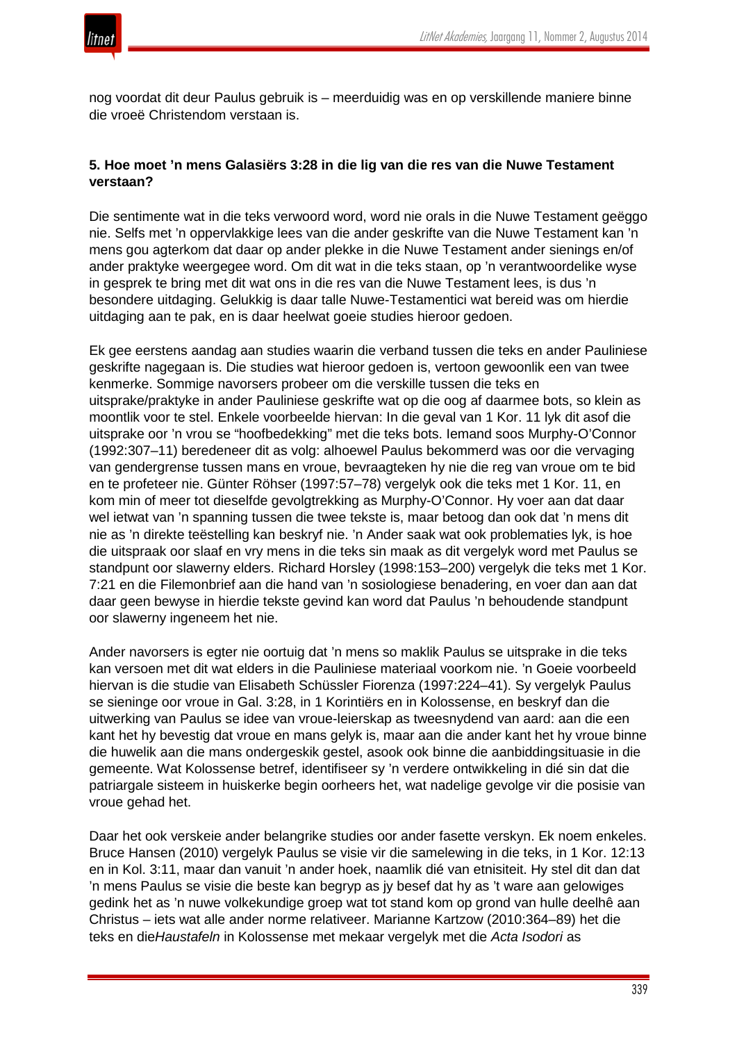nog voordat dit deur Paulus gebruik is – meerduidig was en op verskillende maniere binne die vroeë Christendom verstaan is.

## **5. Hoe moet 'n mens Galasiërs 3:28 in die lig van die res van die Nuwe Testament verstaan?**

Die sentimente wat in die teks verwoord word, word nie orals in die Nuwe Testament geëggo nie. Selfs met 'n oppervlakkige lees van die ander geskrifte van die Nuwe Testament kan 'n mens gou agterkom dat daar op ander plekke in die Nuwe Testament ander sienings en/of ander praktyke weergegee word. Om dit wat in die teks staan, op 'n verantwoordelike wyse in gesprek te bring met dit wat ons in die res van die Nuwe Testament lees, is dus 'n besondere uitdaging. Gelukkig is daar talle Nuwe-Testamentici wat bereid was om hierdie uitdaging aan te pak, en is daar heelwat goeie studies hieroor gedoen.

Ek gee eerstens aandag aan studies waarin die verband tussen die teks en ander Pauliniese geskrifte nagegaan is. Die studies wat hieroor gedoen is, vertoon gewoonlik een van twee kenmerke. Sommige navorsers probeer om die verskille tussen die teks en uitsprake/praktyke in ander Pauliniese geskrifte wat op die oog af daarmee bots, so klein as moontlik voor te stel. Enkele voorbeelde hiervan: In die geval van 1 Kor. 11 lyk dit asof die uitsprake oor 'n vrou se "hoofbedekking" met die teks bots. Iemand soos Murphy-O'Connor (1992:307–11) beredeneer dit as volg: alhoewel Paulus bekommerd was oor die vervaging van gendergrense tussen mans en vroue, bevraagteken hy nie die reg van vroue om te bid en te profeteer nie. Günter Röhser (1997:57–78) vergelyk ook die teks met 1 Kor. 11, en kom min of meer tot dieselfde gevolgtrekking as Murphy-O'Connor. Hy voer aan dat daar wel ietwat van 'n spanning tussen die twee tekste is, maar betoog dan ook dat 'n mens dit nie as 'n direkte teëstelling kan beskryf nie. 'n Ander saak wat ook problematies lyk, is hoe die uitspraak oor slaaf en vry mens in die teks sin maak as dit vergelyk word met Paulus se standpunt oor slawerny elders. Richard Horsley (1998:153–200) vergelyk die teks met 1 Kor. 7:21 en die Filemonbrief aan die hand van 'n sosiologiese benadering, en voer dan aan dat daar geen bewyse in hierdie tekste gevind kan word dat Paulus 'n behoudende standpunt oor slawerny ingeneem het nie.

Ander navorsers is egter nie oortuig dat 'n mens so maklik Paulus se uitsprake in die teks kan versoen met dit wat elders in die Pauliniese materiaal voorkom nie. 'n Goeie voorbeeld hiervan is die studie van Elisabeth Schüssler Fiorenza (1997:224–41). Sy vergelyk Paulus se sieninge oor vroue in Gal. 3:28, in 1 Korintiërs en in Kolossense, en beskryf dan die uitwerking van Paulus se idee van vroue-leierskap as tweesnydend van aard: aan die een kant het hy bevestig dat vroue en mans gelyk is, maar aan die ander kant het hy vroue binne die huwelik aan die mans ondergeskik gestel, asook ook binne die aanbiddingsituasie in die gemeente. Wat Kolossense betref, identifiseer sy 'n verdere ontwikkeling in dié sin dat die patriargale sisteem in huiskerke begin oorheers het, wat nadelige gevolge vir die posisie van vroue gehad het.

Daar het ook verskeie ander belangrike studies oor ander fasette verskyn. Ek noem enkeles. Bruce Hansen (2010) vergelyk Paulus se visie vir die samelewing in die teks, in 1 Kor. 12:13 en in Kol. 3:11, maar dan vanuit 'n ander hoek, naamlik dié van etnisiteit. Hy stel dit dan dat 'n mens Paulus se visie die beste kan begryp as jy besef dat hy as 't ware aan gelowiges gedink het as 'n nuwe volkekundige groep wat tot stand kom op grond van hulle deelhê aan Christus – iets wat alle ander norme relativeer. Marianne Kartzow (2010:364–89) het die teks en die*Haustafeln* in Kolossense met mekaar vergelyk met die *Acta Isodori* as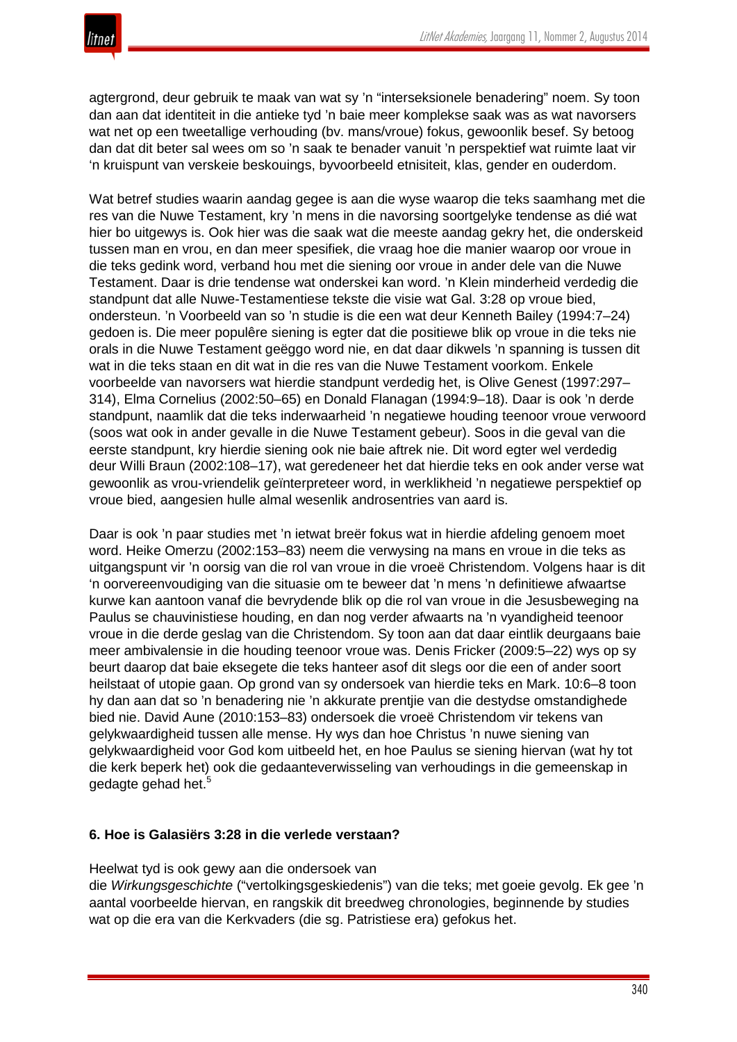

agtergrond, deur gebruik te maak van wat sy 'n "interseksionele benadering" noem. Sy toon dan aan dat identiteit in die antieke tyd 'n baie meer komplekse saak was as wat navorsers wat net op een tweetallige verhouding (bv. mans/vroue) fokus, gewoonlik besef. Sy betoog dan dat dit beter sal wees om so 'n saak te benader vanuit 'n perspektief wat ruimte laat vir 'n kruispunt van verskeie beskouings, byvoorbeeld etnisiteit, klas, gender en ouderdom.

Wat betref studies waarin aandag gegee is aan die wyse waarop die teks saamhang met die res van die Nuwe Testament, kry 'n mens in die navorsing soortgelyke tendense as dié wat hier bo uitgewys is. Ook hier was die saak wat die meeste aandag gekry het, die onderskeid tussen man en vrou, en dan meer spesifiek, die vraag hoe die manier waarop oor vroue in die teks gedink word, verband hou met die siening oor vroue in ander dele van die Nuwe Testament. Daar is drie tendense wat onderskei kan word. 'n Klein minderheid verdedig die standpunt dat alle Nuwe-Testamentiese tekste die visie wat Gal. 3:28 op vroue bied, ondersteun. 'n Voorbeeld van so 'n studie is die een wat deur Kenneth Bailey (1994:7–24) gedoen is. Die meer populêre siening is egter dat die positiewe blik op vroue in die teks nie orals in die Nuwe Testament geëggo word nie, en dat daar dikwels 'n spanning is tussen dit wat in die teks staan en dit wat in die res van die Nuwe Testament voorkom. Enkele voorbeelde van navorsers wat hierdie standpunt verdedig het, is Olive Genest (1997:297– 314), Elma Cornelius (2002:50–65) en Donald Flanagan (1994:9–18). Daar is ook 'n derde standpunt, naamlik dat die teks inderwaarheid 'n negatiewe houding teenoor vroue verwoord (soos wat ook in ander gevalle in die Nuwe Testament gebeur). Soos in die geval van die eerste standpunt, kry hierdie siening ook nie baie aftrek nie. Dit word egter wel verdedig deur Willi Braun (2002:108–17), wat geredeneer het dat hierdie teks en ook ander verse wat gewoonlik as vrou-vriendelik geïnterpreteer word, in werklikheid 'n negatiewe perspektief op vroue bied, aangesien hulle almal wesenlik androsentries van aard is.

Daar is ook 'n paar studies met 'n ietwat breër fokus wat in hierdie afdeling genoem moet word. Heike Omerzu (2002:153–83) neem die verwysing na mans en vroue in die teks as uitgangspunt vir 'n oorsig van die rol van vroue in die vroeë Christendom. Volgens haar is dit 'n oorvereenvoudiging van die situasie om te beweer dat 'n mens 'n definitiewe afwaartse kurwe kan aantoon vanaf die bevrydende blik op die rol van vroue in die Jesusbeweging na Paulus se chauvinistiese houding, en dan nog verder afwaarts na 'n vyandigheid teenoor vroue in die derde geslag van die Christendom. Sy toon aan dat daar eintlik deurgaans baie meer ambivalensie in die houding teenoor vroue was. Denis Fricker (2009:5–22) wys op sy beurt daarop dat baie eksegete die teks hanteer asof dit slegs oor die een of ander soort heilstaat of utopie gaan. Op grond van sy ondersoek van hierdie teks en Mark. 10:6–8 toon hy dan aan dat so 'n benadering nie 'n akkurate prentjie van die destydse omstandighede bied nie. David Aune (2010:153–83) ondersoek die vroeë Christendom vir tekens van gelykwaardigheid tussen alle mense. Hy wys dan hoe Christus 'n nuwe siening van gelykwaardigheid voor God kom uitbeeld het, en hoe Paulus se siening hiervan (wat hy tot die kerk beperk het) ook die gedaanteverwisseling van verhoudings in die gemeenskap in gedagte gehad het.<sup>5</sup>

## **6. Hoe is Galasiërs 3:28 in die verlede verstaan?**

Heelwat tyd is ook gewy aan die ondersoek van

die *Wirkungsgeschichte* ("vertolkingsgeskiedenis") van die teks; met goeie gevolg. Ek gee 'n aantal voorbeelde hiervan, en rangskik dit breedweg chronologies, beginnende by studies wat op die era van die Kerkvaders (die sg. Patristiese era) gefokus het.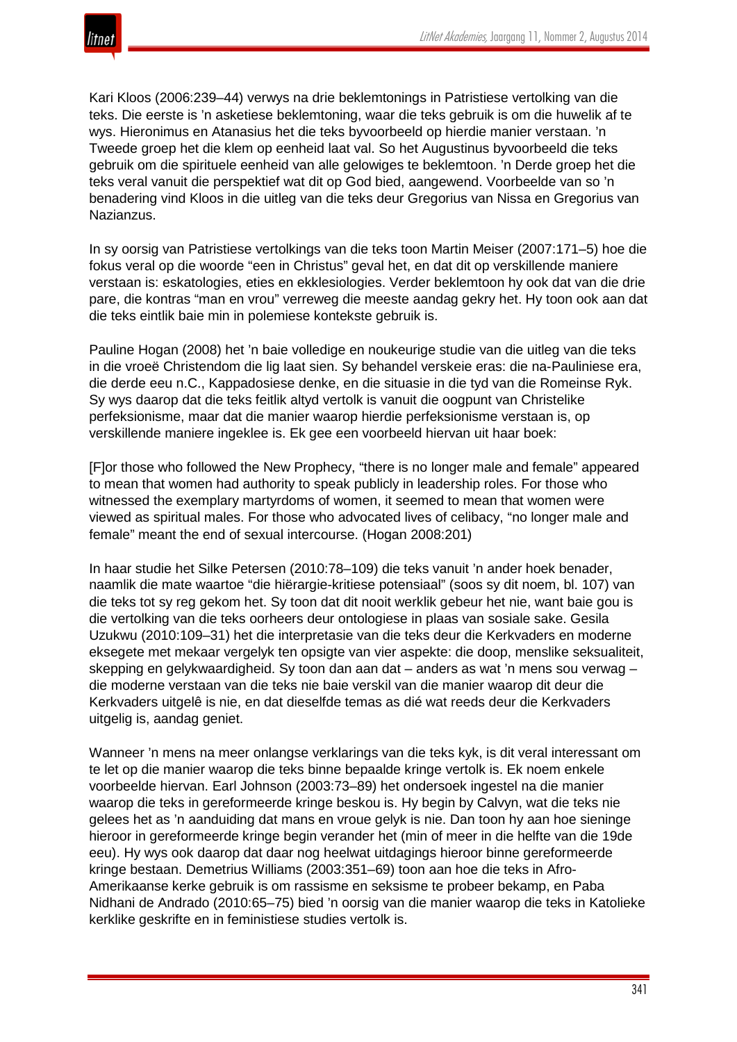Kari Kloos (2006:239–44) verwys na drie beklemtonings in Patristiese vertolking van die teks. Die eerste is 'n asketiese beklemtoning, waar die teks gebruik is om die huwelik af te wys. Hieronimus en Atanasius het die teks byvoorbeeld op hierdie manier verstaan. 'n Tweede groep het die klem op eenheid laat val. So het Augustinus byvoorbeeld die teks gebruik om die spirituele eenheid van alle gelowiges te beklemtoon. 'n Derde groep het die teks veral vanuit die perspektief wat dit op God bied, aangewend. Voorbeelde van so 'n benadering vind Kloos in die uitleg van die teks deur Gregorius van Nissa en Gregorius van Nazianzus.

In sy oorsig van Patristiese vertolkings van die teks toon Martin Meiser (2007:171–5) hoe die fokus veral op die woorde "een in Christus" geval het, en dat dit op verskillende maniere verstaan is: eskatologies, eties en ekklesiologies. Verder beklemtoon hy ook dat van die drie pare, die kontras "man en vrou" verreweg die meeste aandag gekry het. Hy toon ook aan dat die teks eintlik baie min in polemiese kontekste gebruik is.

Pauline Hogan (2008) het 'n baie volledige en noukeurige studie van die uitleg van die teks in die vroeë Christendom die lig laat sien. Sy behandel verskeie eras: die na-Pauliniese era, die derde eeu n.C., Kappadosiese denke, en die situasie in die tyd van die Romeinse Ryk. Sy wys daarop dat die teks feitlik altyd vertolk is vanuit die oogpunt van Christelike perfeksionisme, maar dat die manier waarop hierdie perfeksionisme verstaan is, op verskillende maniere ingeklee is. Ek gee een voorbeeld hiervan uit haar boek:

[F]or those who followed the New Prophecy, "there is no longer male and female" appeared to mean that women had authority to speak publicly in leadership roles. For those who witnessed the exemplary martyrdoms of women, it seemed to mean that women were viewed as spiritual males. For those who advocated lives of celibacy, "no longer male and female" meant the end of sexual intercourse. (Hogan 2008:201)

In haar studie het Silke Petersen (2010:78–109) die teks vanuit 'n ander hoek benader, naamlik die mate waartoe "die hiërargie-kritiese potensiaal" (soos sy dit noem, bl. 107) van die teks tot sy reg gekom het. Sy toon dat dit nooit werklik gebeur het nie, want baie gou is die vertolking van die teks oorheers deur ontologiese in plaas van sosiale sake. Gesila Uzukwu (2010:109–31) het die interpretasie van die teks deur die Kerkvaders en moderne eksegete met mekaar vergelyk ten opsigte van vier aspekte: die doop, menslike seksualiteit, skepping en gelykwaardigheid. Sy toon dan aan dat – anders as wat 'n mens sou verwag – die moderne verstaan van die teks nie baie verskil van die manier waarop dit deur die Kerkvaders uitgelê is nie, en dat dieselfde temas as dié wat reeds deur die Kerkvaders uitgelig is, aandag geniet.

Wanneer 'n mens na meer onlangse verklarings van die teks kyk, is dit veral interessant om te let op die manier waarop die teks binne bepaalde kringe vertolk is. Ek noem enkele voorbeelde hiervan. Earl Johnson (2003:73–89) het ondersoek ingestel na die manier waarop die teks in gereformeerde kringe beskou is. Hy begin by Calvyn, wat die teks nie gelees het as 'n aanduiding dat mans en vroue gelyk is nie. Dan toon hy aan hoe sieninge hieroor in gereformeerde kringe begin verander het (min of meer in die helfte van die 19de eeu). Hy wys ook daarop dat daar nog heelwat uitdagings hieroor binne gereformeerde kringe bestaan. Demetrius Williams (2003:351–69) toon aan hoe die teks in Afro-Amerikaanse kerke gebruik is om rassisme en seksisme te probeer bekamp, en Paba Nidhani de Andrado (2010:65–75) bied 'n oorsig van die manier waarop die teks in Katolieke kerklike geskrifte en in feministiese studies vertolk is.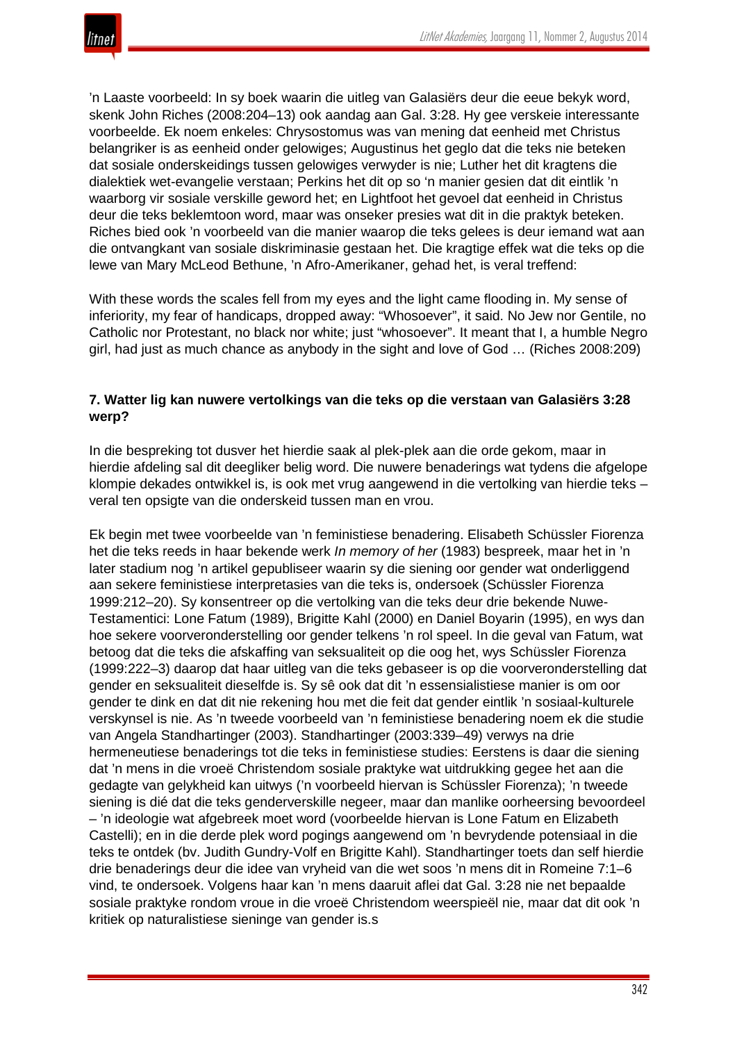'n Laaste voorbeeld: In sy boek waarin die uitleg van Galasiërs deur die eeue bekyk word, skenk John Riches (2008:204–13) ook aandag aan Gal. 3:28. Hy gee verskeie interessante voorbeelde. Ek noem enkeles: Chrysostomus was van mening dat eenheid met Christus belangriker is as eenheid onder gelowiges; Augustinus het geglo dat die teks nie beteken dat sosiale onderskeidings tussen gelowiges verwyder is nie; Luther het dit kragtens die dialektiek wet-evangelie verstaan; Perkins het dit op so 'n manier gesien dat dit eintlik 'n waarborg vir sosiale verskille geword het; en Lightfoot het gevoel dat eenheid in Christus deur die teks beklemtoon word, maar was onseker presies wat dit in die praktyk beteken. Riches bied ook 'n voorbeeld van die manier waarop die teks gelees is deur iemand wat aan die ontvangkant van sosiale diskriminasie gestaan het. Die kragtige effek wat die teks op die lewe van Mary McLeod Bethune, 'n Afro-Amerikaner, gehad het, is veral treffend:

With these words the scales fell from my eyes and the light came flooding in. My sense of inferiority, my fear of handicaps, dropped away: "Whosoever", it said. No Jew nor Gentile, no Catholic nor Protestant, no black nor white; just "whosoever". It meant that I, a humble Negro girl, had just as much chance as anybody in the sight and love of God … (Riches 2008:209)

## **7. Watter lig kan nuwere vertolkings van die teks op die verstaan van Galasiërs 3:28 werp?**

In die bespreking tot dusver het hierdie saak al plek-plek aan die orde gekom, maar in hierdie afdeling sal dit deegliker belig word. Die nuwere benaderings wat tydens die afgelope klompie dekades ontwikkel is, is ook met vrug aangewend in die vertolking van hierdie teks – veral ten opsigte van die onderskeid tussen man en vrou.

Ek begin met twee voorbeelde van 'n feministiese benadering. Elisabeth Schüssler Fiorenza het die teks reeds in haar bekende werk *In memory of her* (1983) bespreek, maar het in 'n later stadium nog 'n artikel gepubliseer waarin sy die siening oor gender wat onderliggend aan sekere feministiese interpretasies van die teks is, ondersoek (Schüssler Fiorenza 1999:212–20). Sy konsentreer op die vertolking van die teks deur drie bekende Nuwe-Testamentici: Lone Fatum (1989), Brigitte Kahl (2000) en Daniel Boyarin (1995), en wys dan hoe sekere voorveronderstelling oor gender telkens 'n rol speel. In die geval van Fatum, wat betoog dat die teks die afskaffing van seksualiteit op die oog het, wys Schüssler Fiorenza (1999:222–3) daarop dat haar uitleg van die teks gebaseer is op die voorveronderstelling dat gender en seksualiteit dieselfde is. Sy sê ook dat dit 'n essensialistiese manier is om oor gender te dink en dat dit nie rekening hou met die feit dat gender eintlik 'n sosiaal-kulturele verskynsel is nie. As 'n tweede voorbeeld van 'n feministiese benadering noem ek die studie van Angela Standhartinger (2003). Standhartinger (2003:339–49) verwys na drie hermeneutiese benaderings tot die teks in feministiese studies: Eerstens is daar die siening dat 'n mens in die vroeë Christendom sosiale praktyke wat uitdrukking gegee het aan die gedagte van gelykheid kan uitwys ('n voorbeeld hiervan is Schüssler Fiorenza); 'n tweede siening is dié dat die teks genderverskille negeer, maar dan manlike oorheersing bevoordeel – 'n ideologie wat afgebreek moet word (voorbeelde hiervan is Lone Fatum en Elizabeth Castelli); en in die derde plek word pogings aangewend om 'n bevrydende potensiaal in die teks te ontdek (bv. Judith Gundry-Volf en Brigitte Kahl). Standhartinger toets dan self hierdie drie benaderings deur die idee van vryheid van die wet soos 'n mens dit in Romeine 7:1–6 vind, te ondersoek. Volgens haar kan 'n mens daaruit aflei dat Gal. 3:28 nie net bepaalde sosiale praktyke rondom vroue in die vroeë Christendom weerspieël nie, maar dat dit ook 'n kritiek op naturalistiese sieninge van gender is.s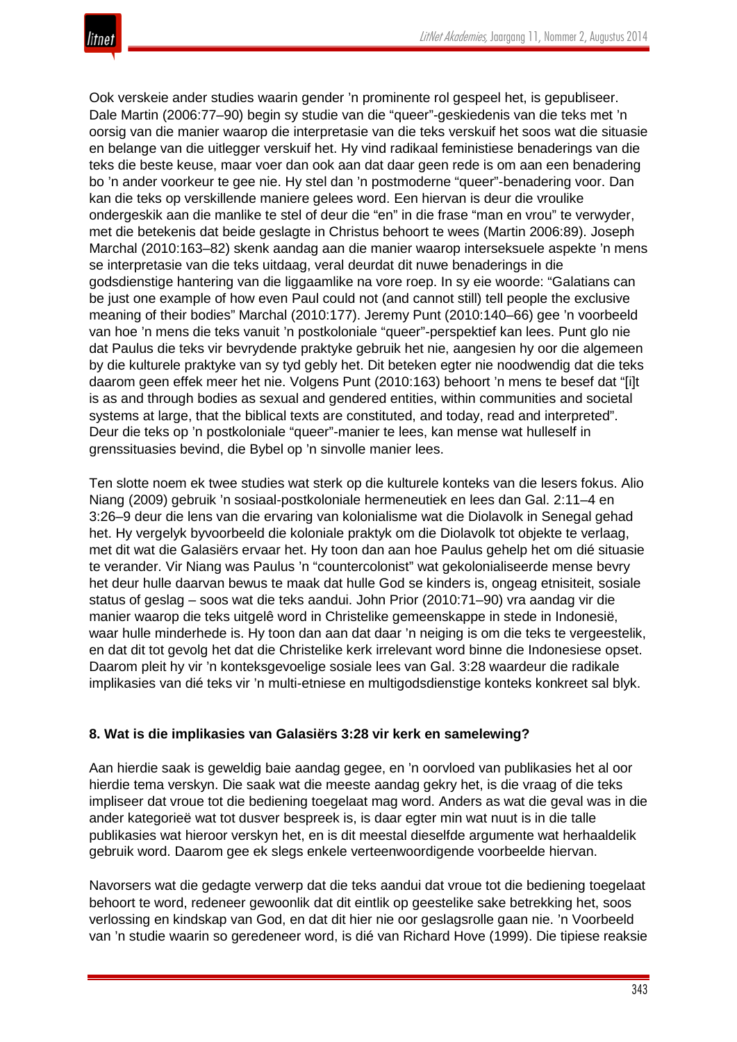Ook verskeie ander studies waarin gender 'n prominente rol gespeel het, is gepubliseer. Dale Martin (2006:77–90) begin sy studie van die "queer"-geskiedenis van die teks met 'n oorsig van die manier waarop die interpretasie van die teks verskuif het soos wat die situasie en belange van die uitlegger verskuif het. Hy vind radikaal feministiese benaderings van die teks die beste keuse, maar voer dan ook aan dat daar geen rede is om aan een benadering bo 'n ander voorkeur te gee nie. Hy stel dan 'n postmoderne "queer"-benadering voor. Dan kan die teks op verskillende maniere gelees word. Een hiervan is deur die vroulike ondergeskik aan die manlike te stel of deur die "en" in die frase "man en vrou" te verwyder, met die betekenis dat beide geslagte in Christus behoort te wees (Martin 2006:89). Joseph Marchal (2010:163–82) skenk aandag aan die manier waarop interseksuele aspekte 'n mens se interpretasie van die teks uitdaag, veral deurdat dit nuwe benaderings in die godsdienstige hantering van die liggaamlike na vore roep. In sy eie woorde: "Galatians can be just one example of how even Paul could not (and cannot still) tell people the exclusive meaning of their bodies" Marchal (2010:177). Jeremy Punt (2010:140–66) gee 'n voorbeeld van hoe 'n mens die teks vanuit 'n postkoloniale "queer"-perspektief kan lees. Punt glo nie dat Paulus die teks vir bevrydende praktyke gebruik het nie, aangesien hy oor die algemeen by die kulturele praktyke van sy tyd gebly het. Dit beteken egter nie noodwendig dat die teks daarom geen effek meer het nie. Volgens Punt (2010:163) behoort 'n mens te besef dat "[i]t is as and through bodies as sexual and gendered entities, within communities and societal systems at large, that the biblical texts are constituted, and today, read and interpreted". Deur die teks op 'n postkoloniale "queer"-manier te lees, kan mense wat hulleself in grenssituasies bevind, die Bybel op 'n sinvolle manier lees.

Ten slotte noem ek twee studies wat sterk op die kulturele konteks van die lesers fokus. Alio Niang (2009) gebruik 'n sosiaal-postkoloniale hermeneutiek en lees dan Gal. 2:11–4 en 3:26–9 deur die lens van die ervaring van kolonialisme wat die Diolavolk in Senegal gehad het. Hy vergelyk byvoorbeeld die koloniale praktyk om die Diolavolk tot objekte te verlaag, met dit wat die Galasiërs ervaar het. Hy toon dan aan hoe Paulus gehelp het om dié situasie te verander. Vir Niang was Paulus 'n "countercolonist" wat gekolonialiseerde mense bevry het deur hulle daarvan bewus te maak dat hulle God se kinders is, ongeag etnisiteit, sosiale status of geslag – soos wat die teks aandui. John Prior (2010:71–90) vra aandag vir die manier waarop die teks uitgelê word in Christelike gemeenskappe in stede in Indonesië, waar hulle minderhede is. Hy toon dan aan dat daar 'n neiging is om die teks te vergeestelik, en dat dit tot gevolg het dat die Christelike kerk irrelevant word binne die Indonesiese opset. Daarom pleit hy vir 'n konteksgevoelige sosiale lees van Gal. 3:28 waardeur die radikale implikasies van dié teks vir 'n multi-etniese en multigodsdienstige konteks konkreet sal blyk.

## **8. Wat is die implikasies van Galasiërs 3:28 vir kerk en samelewing?**

Aan hierdie saak is geweldig baie aandag gegee, en 'n oorvloed van publikasies het al oor hierdie tema verskyn. Die saak wat die meeste aandag gekry het, is die vraag of die teks impliseer dat vroue tot die bediening toegelaat mag word. Anders as wat die geval was in die ander kategorieë wat tot dusver bespreek is, is daar egter min wat nuut is in die talle publikasies wat hieroor verskyn het, en is dit meestal dieselfde argumente wat herhaaldelik gebruik word. Daarom gee ek slegs enkele verteenwoordigende voorbeelde hiervan.

Navorsers wat die gedagte verwerp dat die teks aandui dat vroue tot die bediening toegelaat behoort te word, redeneer gewoonlik dat dit eintlik op geestelike sake betrekking het, soos verlossing en kindskap van God, en dat dit hier nie oor geslagsrolle gaan nie. 'n Voorbeeld van 'n studie waarin so geredeneer word, is dié van Richard Hove (1999). Die tipiese reaksie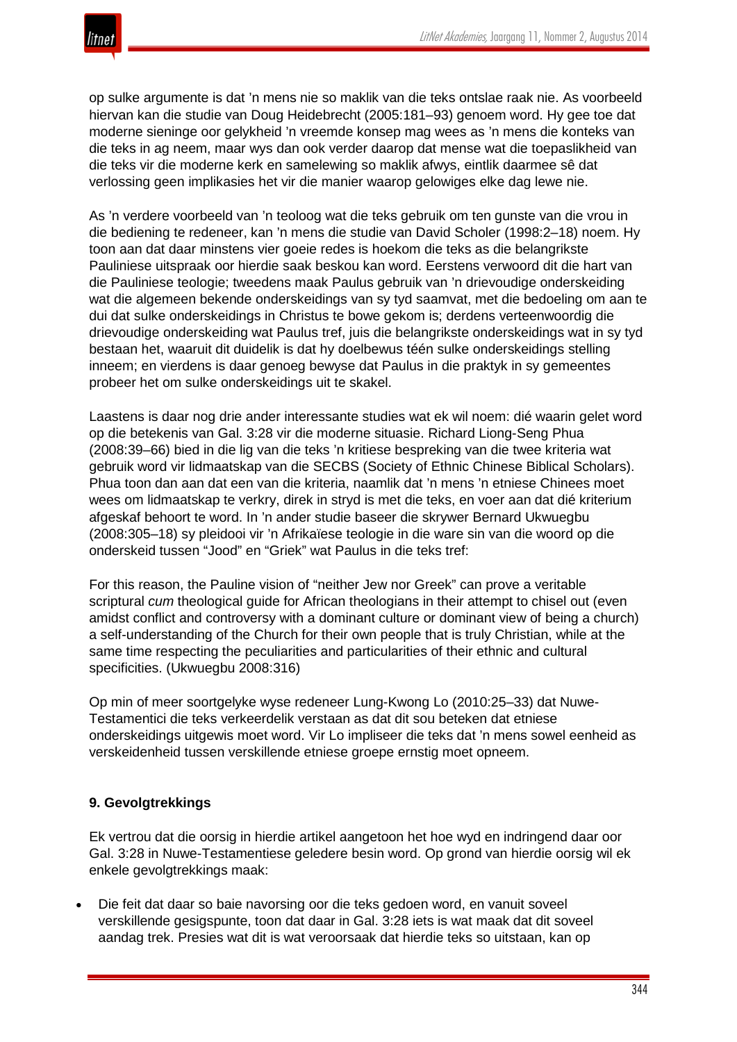

op sulke argumente is dat 'n mens nie so maklik van die teks ontslae raak nie. As voorbeeld hiervan kan die studie van Doug Heidebrecht (2005:181–93) genoem word. Hy gee toe dat moderne sieninge oor gelykheid 'n vreemde konsep mag wees as 'n mens die konteks van die teks in ag neem, maar wys dan ook verder daarop dat mense wat die toepaslikheid van die teks vir die moderne kerk en samelewing so maklik afwys, eintlik daarmee sê dat verlossing geen implikasies het vir die manier waarop gelowiges elke dag lewe nie.

As 'n verdere voorbeeld van 'n teoloog wat die teks gebruik om ten gunste van die vrou in die bediening te redeneer, kan 'n mens die studie van David Scholer (1998:2–18) noem. Hy toon aan dat daar minstens vier goeie redes is hoekom die teks as die belangrikste Pauliniese uitspraak oor hierdie saak beskou kan word. Eerstens verwoord dit die hart van die Pauliniese teologie; tweedens maak Paulus gebruik van 'n drievoudige onderskeiding wat die algemeen bekende onderskeidings van sy tyd saamvat, met die bedoeling om aan te dui dat sulke onderskeidings in Christus te bowe gekom is; derdens verteenwoordig die drievoudige onderskeiding wat Paulus tref, juis die belangrikste onderskeidings wat in sy tyd bestaan het, waaruit dit duidelik is dat hy doelbewus téén sulke onderskeidings stelling inneem; en vierdens is daar genoeg bewyse dat Paulus in die praktyk in sy gemeentes probeer het om sulke onderskeidings uit te skakel.

Laastens is daar nog drie ander interessante studies wat ek wil noem: dié waarin gelet word op die betekenis van Gal. 3:28 vir die moderne situasie. Richard Liong-Seng Phua (2008:39–66) bied in die lig van die teks 'n kritiese bespreking van die twee kriteria wat gebruik word vir lidmaatskap van die SECBS (Society of Ethnic Chinese Biblical Scholars). Phua toon dan aan dat een van die kriteria, naamlik dat 'n mens 'n etniese Chinees moet wees om lidmaatskap te verkry, direk in stryd is met die teks, en voer aan dat dié kriterium afgeskaf behoort te word. In 'n ander studie baseer die skrywer Bernard Ukwuegbu (2008:305–18) sy pleidooi vir 'n Afrikaïese teologie in die ware sin van die woord op die onderskeid tussen "Jood" en "Griek" wat Paulus in die teks tref:

For this reason, the Pauline vision of "neither Jew nor Greek" can prove a veritable scriptural *cum* theological guide for African theologians in their attempt to chisel out (even amidst conflict and controversy with a dominant culture or dominant view of being a church) a self-understanding of the Church for their own people that is truly Christian, while at the same time respecting the peculiarities and particularities of their ethnic and cultural specificities. (Ukwuegbu 2008:316)

Op min of meer soortgelyke wyse redeneer Lung-Kwong Lo (2010:25–33) dat Nuwe-Testamentici die teks verkeerdelik verstaan as dat dit sou beteken dat etniese onderskeidings uitgewis moet word. Vir Lo impliseer die teks dat 'n mens sowel eenheid as verskeidenheid tussen verskillende etniese groepe ernstig moet opneem.

## **9. Gevolgtrekkings**

Ek vertrou dat die oorsig in hierdie artikel aangetoon het hoe wyd en indringend daar oor Gal. 3:28 in Nuwe-Testamentiese geledere besin word. Op grond van hierdie oorsig wil ek enkele gevolgtrekkings maak:

• Die feit dat daar so baie navorsing oor die teks gedoen word, en vanuit soveel verskillende gesigspunte, toon dat daar in Gal. 3:28 iets is wat maak dat dit soveel aandag trek. Presies wat dit is wat veroorsaak dat hierdie teks so uitstaan, kan op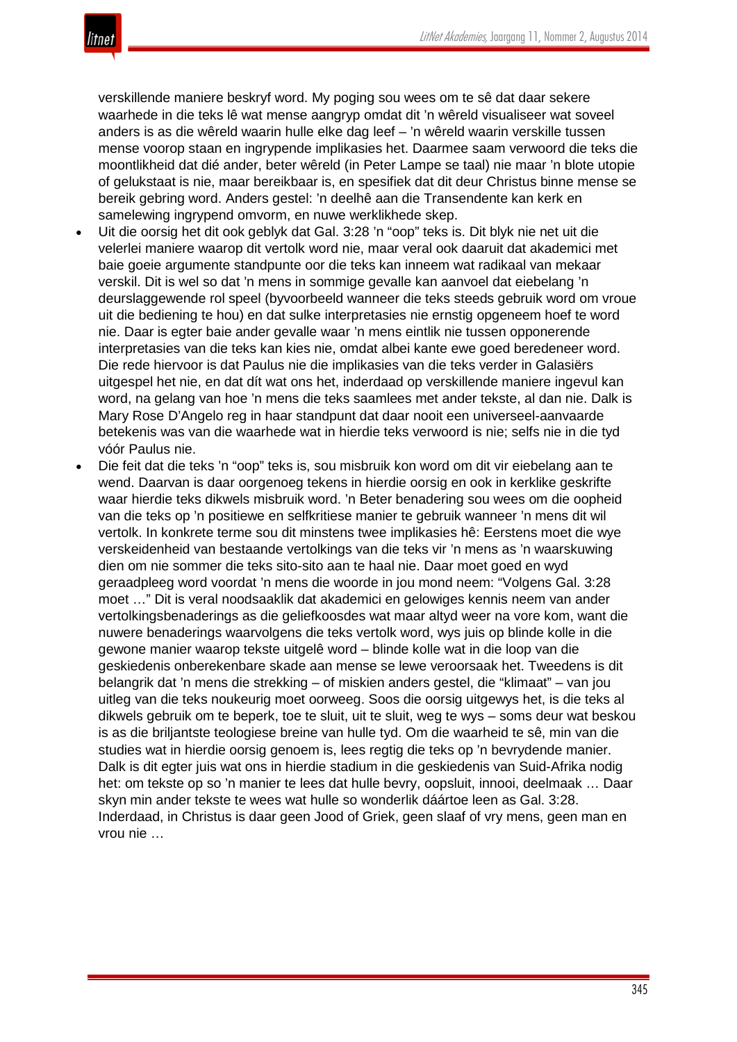

verskillende maniere beskryf word. My poging sou wees om te sê dat daar sekere waarhede in die teks lê wat mense aangryp omdat dit 'n wêreld visualiseer wat soveel anders is as die wêreld waarin hulle elke dag leef – 'n wêreld waarin verskille tussen mense voorop staan en ingrypende implikasies het. Daarmee saam verwoord die teks die moontlikheid dat dié ander, beter wêreld (in Peter Lampe se taal) nie maar 'n blote utopie of gelukstaat is nie, maar bereikbaar is, en spesifiek dat dit deur Christus binne mense se bereik gebring word. Anders gestel: 'n deelhê aan die Transendente kan kerk en samelewing ingrypend omvorm, en nuwe werklikhede skep.

- Uit die oorsig het dit ook geblyk dat Gal. 3:28 'n "oop" teks is. Dit blyk nie net uit die velerlei maniere waarop dit vertolk word nie, maar veral ook daaruit dat akademici met baie goeie argumente standpunte oor die teks kan inneem wat radikaal van mekaar verskil. Dit is wel so dat 'n mens in sommige gevalle kan aanvoel dat eiebelang 'n deurslaggewende rol speel (byvoorbeeld wanneer die teks steeds gebruik word om vroue uit die bediening te hou) en dat sulke interpretasies nie ernstig opgeneem hoef te word nie. Daar is egter baie ander gevalle waar 'n mens eintlik nie tussen opponerende interpretasies van die teks kan kies nie, omdat albei kante ewe goed beredeneer word. Die rede hiervoor is dat Paulus nie die implikasies van die teks verder in Galasiërs uitgespel het nie, en dat dít wat ons het, inderdaad op verskillende maniere ingevul kan word, na gelang van hoe 'n mens die teks saamlees met ander tekste, al dan nie. Dalk is Mary Rose D'Angelo reg in haar standpunt dat daar nooit een universeel-aanvaarde betekenis was van die waarhede wat in hierdie teks verwoord is nie; selfs nie in die tyd vóór Paulus nie.
- Die feit dat die teks 'n "oop" teks is, sou misbruik kon word om dit vir eiebelang aan te wend. Daarvan is daar oorgenoeg tekens in hierdie oorsig en ook in kerklike geskrifte waar hierdie teks dikwels misbruik word. 'n Beter benadering sou wees om die oopheid van die teks op 'n positiewe en selfkritiese manier te gebruik wanneer 'n mens dit wil vertolk. In konkrete terme sou dit minstens twee implikasies hê: Eerstens moet die wye verskeidenheid van bestaande vertolkings van die teks vir 'n mens as 'n waarskuwing dien om nie sommer die teks sito-sito aan te haal nie. Daar moet goed en wyd geraadpleeg word voordat 'n mens die woorde in jou mond neem: "Volgens Gal. 3:28 moet …" Dit is veral noodsaaklik dat akademici en gelowiges kennis neem van ander vertolkingsbenaderings as die geliefkoosdes wat maar altyd weer na vore kom, want die nuwere benaderings waarvolgens die teks vertolk word, wys juis op blinde kolle in die gewone manier waarop tekste uitgelê word – blinde kolle wat in die loop van die geskiedenis onberekenbare skade aan mense se lewe veroorsaak het. Tweedens is dit belangrik dat 'n mens die strekking – of miskien anders gestel, die "klimaat" – van jou uitleg van die teks noukeurig moet oorweeg. Soos die oorsig uitgewys het, is die teks al dikwels gebruik om te beperk, toe te sluit, uit te sluit, weg te wys – soms deur wat beskou is as die briljantste teologiese breine van hulle tyd. Om die waarheid te sê, min van die studies wat in hierdie oorsig genoem is, lees regtig die teks op 'n bevrydende manier. Dalk is dit egter juis wat ons in hierdie stadium in die geskiedenis van Suid-Afrika nodig het: om tekste op so 'n manier te lees dat hulle bevry, oopsluit, innooi, deelmaak … Daar skyn min ander tekste te wees wat hulle so wonderlik dáártoe leen as Gal. 3:28. Inderdaad, in Christus is daar geen Jood of Griek, geen slaaf of vry mens, geen man en vrou nie …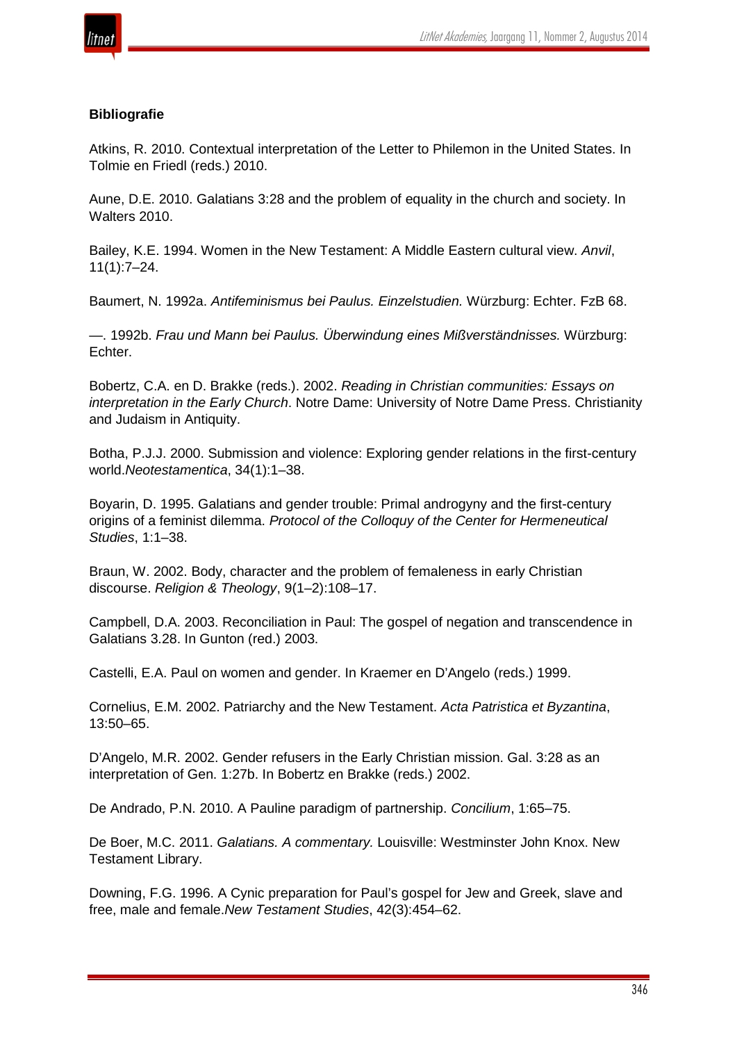

#### **Bibliografie**

Atkins, R. 2010. Contextual interpretation of the Letter to Philemon in the United States. In Tolmie en Friedl (reds.) 2010.

Aune, D.E. 2010. Galatians 3:28 and the problem of equality in the church and society. In Walters 2010.

Bailey, K.E. 1994. Women in the New Testament: A Middle Eastern cultural view. *Anvil*, 11(1):7–24.

Baumert, N. 1992a. *Antifeminismus bei Paulus. Einzelstudien.* Würzburg: Echter. FzB 68.

—. 1992b. *Frau und Mann bei Paulus. Überwindung eines Mißverständnisses.* Würzburg: Echter.

Bobertz, C.A. en D. Brakke (reds.). 2002. *Reading in Christian communities: Essays on interpretation in the Early Church*. Notre Dame: University of Notre Dame Press. Christianity and Judaism in Antiquity.

Botha, P.J.J. 2000. Submission and violence: Exploring gender relations in the first-century world.*Neotestamentica*, 34(1):1–38.

Boyarin, D. 1995. Galatians and gender trouble: Primal androgyny and the first-century origins of a feminist dilemma. *Protocol of the Colloquy of the Center for Hermeneutical Studies*, 1:1–38.

Braun, W. 2002. Body, character and the problem of femaleness in early Christian discourse. *Religion & Theology*, 9(1–2):108–17.

Campbell, D.A. 2003. Reconciliation in Paul: The gospel of negation and transcendence in Galatians 3.28. In Gunton (red.) 2003.

Castelli, E.A. Paul on women and gender. In Kraemer en D'Angelo (reds.) 1999.

Cornelius, E.M. 2002. Patriarchy and the New Testament. *Acta Patristica et Byzantina*, 13:50–65.

D'Angelo, M.R. 2002. Gender refusers in the Early Christian mission. Gal. 3:28 as an interpretation of Gen. 1:27b. In Bobertz en Brakke (reds.) 2002.

De Andrado, P.N. 2010. A Pauline paradigm of partnership. *Concilium*, 1:65–75.

De Boer, M.C. 2011. *Galatians. A commentary.* Louisville: Westminster John Knox. New Testament Library.

Downing, F.G. 1996. A Cynic preparation for Paul's gospel for Jew and Greek, slave and free, male and female.*New Testament Studies*, 42(3):454–62.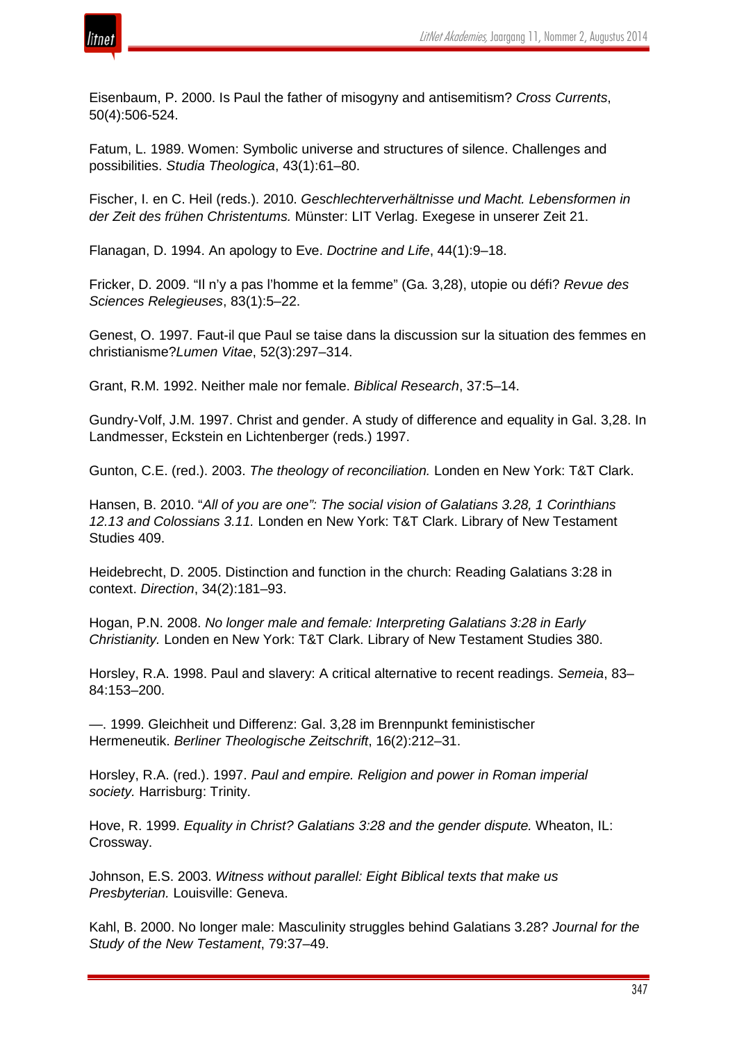

Eisenbaum, P. 2000. Is Paul the father of misogyny and antisemitism? *Cross Currents*, 50(4):506-524.

Fatum, L. 1989. Women: Symbolic universe and structures of silence. Challenges and possibilities. *Studia Theologica*, 43(1):61–80.

Fischer, I. en C. Heil (reds.). 2010. *Geschlechterverhältnisse und Macht. Lebensformen in der Zeit des frühen Christentums.* Münster: LIT Verlag. Exegese in unserer Zeit 21.

Flanagan, D. 1994. An apology to Eve. *Doctrine and Life*, 44(1):9–18.

Fricker, D. 2009. "Il n'y a pas l'homme et la femme" (Ga. 3,28), utopie ou défi? *Revue des Sciences Relegieuses*, 83(1):5–22.

Genest, O. 1997. Faut-il que Paul se taise dans la discussion sur la situation des femmes en christianisme?*Lumen Vitae*, 52(3):297–314.

Grant, R.M. 1992. Neither male nor female. *Biblical Research*, 37:5–14.

Gundry-Volf, J.M. 1997. Christ and gender. A study of difference and equality in Gal. 3,28. In Landmesser, Eckstein en Lichtenberger (reds.) 1997.

Gunton, C.E. (red.). 2003. *The theology of reconciliation.* Londen en New York: T&T Clark.

Hansen, B. 2010. "*All of you are one": The social vision of Galatians 3.28, 1 Corinthians 12.13 and Colossians 3.11.* Londen en New York: T&T Clark. Library of New Testament Studies 409.

Heidebrecht, D. 2005. Distinction and function in the church: Reading Galatians 3:28 in context. *Direction*, 34(2):181–93.

Hogan, P.N. 2008. *No longer male and female: Interpreting Galatians 3:28 in Early Christianity.* Londen en New York: T&T Clark. Library of New Testament Studies 380.

Horsley, R.A. 1998. Paul and slavery: A critical alternative to recent readings. *Semeia*, 83– 84:153–200.

—. 1999. Gleichheit und Differenz: Gal. 3,28 im Brennpunkt feministischer Hermeneutik. *Berliner Theologische Zeitschrift*, 16(2):212–31.

Horsley, R.A. (red.). 1997. *Paul and empire. Religion and power in Roman imperial society.* Harrisburg: Trinity.

Hove, R. 1999. *Equality in Christ? Galatians 3:28 and the gender dispute.* Wheaton, IL: Crossway.

Johnson, E.S. 2003. *Witness without parallel: Eight Biblical texts that make us Presbyterian.* Louisville: Geneva.

Kahl, B. 2000. No longer male: Masculinity struggles behind Galatians 3.28? *Journal for the Study of the New Testament*, 79:37–49.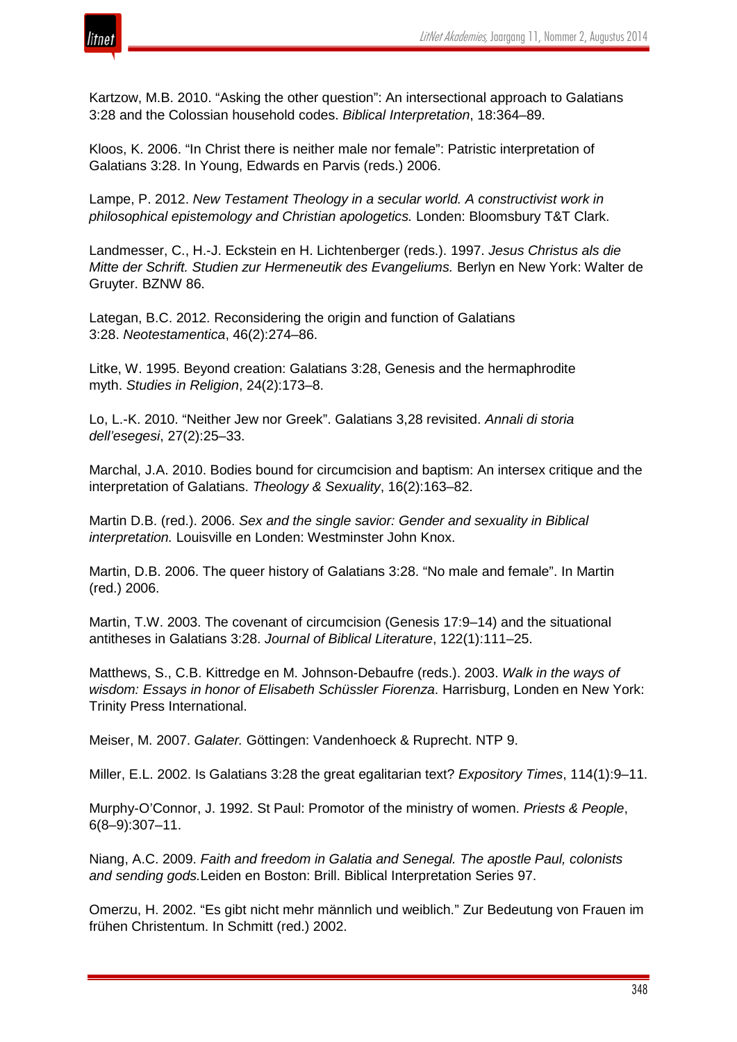

Kartzow, M.B. 2010. "Asking the other question": An intersectional approach to Galatians 3:28 and the Colossian household codes. *Biblical Interpretation*, 18:364–89.

Kloos, K. 2006. "In Christ there is neither male nor female": Patristic interpretation of Galatians 3:28. In Young, Edwards en Parvis (reds.) 2006.

Lampe, P. 2012. *New Testament Theology in a secular world. A constructivist work in philosophical epistemology and Christian apologetics.* Londen: Bloomsbury T&T Clark.

Landmesser, C., H.-J. Eckstein en H. Lichtenberger (reds.). 1997. *Jesus Christus als die Mitte der Schrift. Studien zur Hermeneutik des Evangeliums.* Berlyn en New York: Walter de Gruyter. BZNW 86.

Lategan, B.C. 2012. Reconsidering the origin and function of Galatians 3:28. *Neotestamentica*, 46(2):274–86.

Litke, W. 1995. Beyond creation: Galatians 3:28, Genesis and the hermaphrodite myth. *Studies in Religion*, 24(2):173–8.

Lo, L.-K. 2010. "Neither Jew nor Greek". Galatians 3,28 revisited. *Annali di storia dell'esegesi*, 27(2):25–33.

Marchal, J.A. 2010. Bodies bound for circumcision and baptism: An intersex critique and the interpretation of Galatians. *Theology & Sexuality*, 16(2):163–82.

Martin D.B. (red.). 2006. *Sex and the single savior: Gender and sexuality in Biblical interpretation.* Louisville en Londen: Westminster John Knox.

Martin, D.B. 2006. The queer history of Galatians 3:28. "No male and female". In Martin (red.) 2006.

Martin, T.W. 2003. The covenant of circumcision (Genesis 17:9–14) and the situational antitheses in Galatians 3:28. *Journal of Biblical Literature*, 122(1):111–25.

Matthews, S., C.B. Kittredge en M. Johnson-Debaufre (reds.). 2003. *Walk in the ways of wisdom: Essays in honor of Elisabeth Schüssler Fiorenza*. Harrisburg, Londen en New York: Trinity Press International.

Meiser, M. 2007. *Galater.* Göttingen: Vandenhoeck & Ruprecht. NTP 9.

Miller, E.L. 2002. Is Galatians 3:28 the great egalitarian text? *Expository Times*, 114(1):9–11.

Murphy-O'Connor, J. 1992. St Paul: Promotor of the ministry of women. *Priests & People*, 6(8–9):307–11.

Niang, A.C. 2009. *Faith and freedom in Galatia and Senegal. The apostle Paul, colonists and sending gods.*Leiden en Boston: Brill. Biblical Interpretation Series 97.

Omerzu, H. 2002. "Es gibt nicht mehr männlich und weiblich." Zur Bedeutung von Frauen im frühen Christentum. In Schmitt (red.) 2002.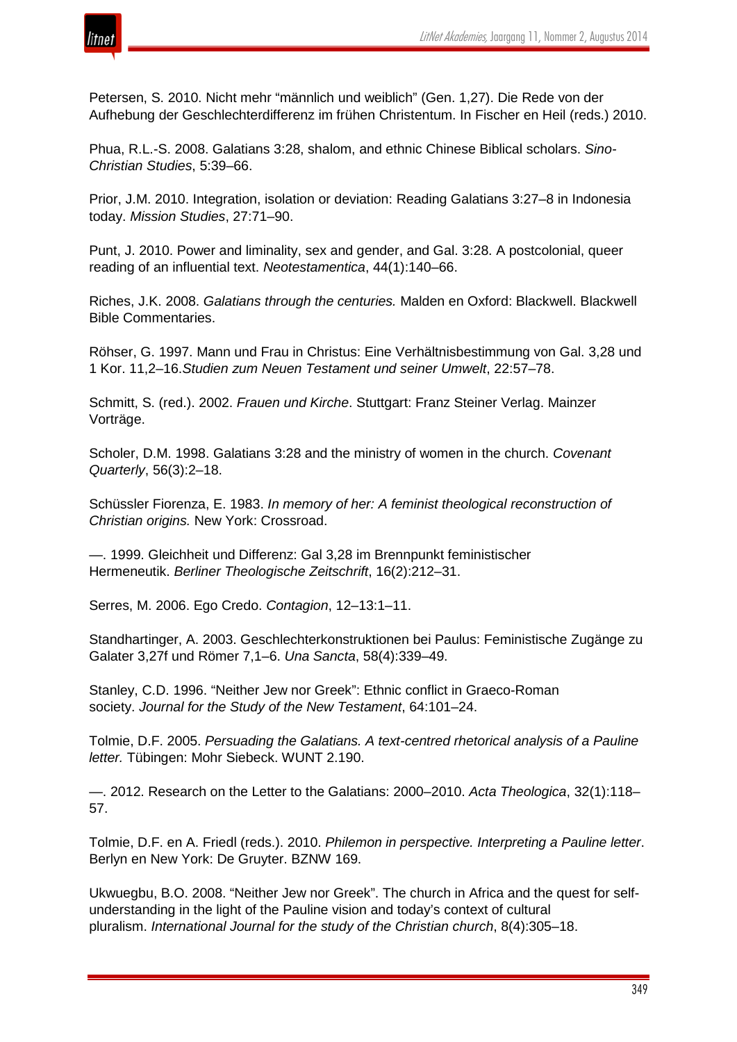

Petersen, S. 2010. Nicht mehr "männlich und weiblich" (Gen. 1,27). Die Rede von der Aufhebung der Geschlechterdifferenz im frühen Christentum. In Fischer en Heil (reds.) 2010.

Phua, R.L.-S. 2008. Galatians 3:28, shalom, and ethnic Chinese Biblical scholars. *Sino-Christian Studies*, 5:39–66.

Prior, J.M. 2010. Integration, isolation or deviation: Reading Galatians 3:27–8 in Indonesia today. *Mission Studies*, 27:71–90.

Punt, J. 2010. Power and liminality, sex and gender, and Gal. 3:28. A postcolonial, queer reading of an influential text. *Neotestamentica*, 44(1):140–66.

Riches, J.K. 2008. *Galatians through the centuries.* Malden en Oxford: Blackwell. Blackwell Bible Commentaries.

Röhser, G. 1997. Mann und Frau in Christus: Eine Verhältnisbestimmung von Gal. 3,28 und 1 Kor. 11,2–16.*Studien zum Neuen Testament und seiner Umwelt*, 22:57–78.

Schmitt, S. (red.). 2002. *Frauen und Kirche*. Stuttgart: Franz Steiner Verlag. Mainzer Vorträge.

Scholer, D.M. 1998. Galatians 3:28 and the ministry of women in the church. *Covenant Quarterly*, 56(3):2–18.

Schüssler Fiorenza, E. 1983. *In memory of her: A feminist theological reconstruction of Christian origins.* New York: Crossroad.

—. 1999. Gleichheit und Differenz: Gal 3,28 im Brennpunkt feministischer Hermeneutik. *Berliner Theologische Zeitschrift*, 16(2):212–31.

Serres, M. 2006. Ego Credo. *Contagion*, 12–13:1–11.

Standhartinger, A. 2003. Geschlechterkonstruktionen bei Paulus: Feministische Zugänge zu Galater 3,27f und Römer 7,1–6. *Una Sancta*, 58(4):339–49.

Stanley, C.D. 1996. "Neither Jew nor Greek": Ethnic conflict in Graeco-Roman society. *Journal for the Study of the New Testament*, 64:101–24.

Tolmie, D.F. 2005. *Persuading the Galatians. A text-centred rhetorical analysis of a Pauline letter.* Tübingen: Mohr Siebeck. WUNT 2.190.

—. 2012. Research on the Letter to the Galatians: 2000–2010. *Acta Theologica*, 32(1):118– 57.

Tolmie, D.F. en A. Friedl (reds.). 2010. *Philemon in perspective. Interpreting a Pauline letter*. Berlyn en New York: De Gruyter. BZNW 169.

Ukwuegbu, B.O. 2008. "Neither Jew nor Greek". The church in Africa and the quest for selfunderstanding in the light of the Pauline vision and today's context of cultural pluralism. *International Journal for the study of the Christian church*, 8(4):305–18.